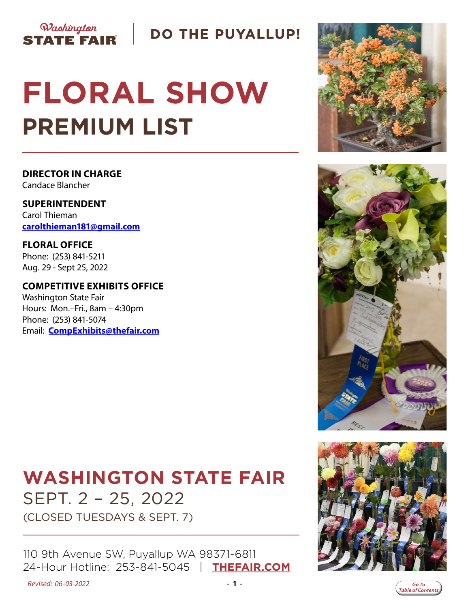

**DO THE PUYALLUP!** 

# **FLORAL SHOW PREMIUM LIST**

**DIRECTOR IN CHARGE** Candace Blancher

**SUPERINTENDENT** Carol Thieman **[carolthieman181@gmail.com](mailto:carolthieman181%40gmail.com?subject=Floral%20Show)**

**FLORAL OFFICE** Phone: (253) 841-5211 Aug. 29 - Sept 25, 2022

**COMPETITIVE EXHIBITS OFFICE** Washington State Fair Hours: Mon.–Fri., 8am – 4:30pm Phone: (253) 841-5074 Email: **[CompExhibits@thefair.com](mailto:CompExhibits%40thefair.com?subject=Floral%20Show)**

## **WASHINGTON STATE FAIR** SEPT. 2 – 25, 2022

(CLOSED TUESDAYS & SEPT. 7)

110 9th Avenue SW, Puyallup WA 98371-6811 24-Hour Hotline: 253-841-5045 | **[THEFAIR.COM](http://www.thefair.com)**









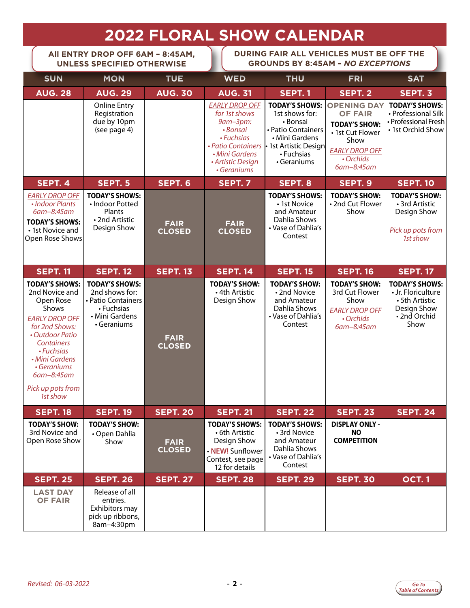## **2022 FLORAL SHOW CALENDAR**

<span id="page-1-0"></span>**All ENTRY DROP OFF 6AM – 8:45AM, UNLESS SPECIFIED OTHERWISE**

**DURING FAIR ALL VEHICLES MUST BE OFF THE GROUNDS BY 8:45AM –** *NO EXCEPTIONS*

| <b>SUN</b>                                                                                                                                                                                                                                     | <b>MON</b>                                                                                                   | <b>TUE</b>                   | <b>WED</b>                                                                                                                                               | <b>THU</b>                                                                                                                                        | <b>FRI</b>                                                                                                                                   | <b>SAT</b>                                                                                          |
|------------------------------------------------------------------------------------------------------------------------------------------------------------------------------------------------------------------------------------------------|--------------------------------------------------------------------------------------------------------------|------------------------------|----------------------------------------------------------------------------------------------------------------------------------------------------------|---------------------------------------------------------------------------------------------------------------------------------------------------|----------------------------------------------------------------------------------------------------------------------------------------------|-----------------------------------------------------------------------------------------------------|
| <b>AUG. 28</b>                                                                                                                                                                                                                                 | <b>AUG. 29</b>                                                                                               | <b>AUG. 30</b>               | <b>AUG. 31</b>                                                                                                                                           | <b>SEPT. 1</b>                                                                                                                                    | SEPT. 2                                                                                                                                      | SEPT. 3                                                                                             |
|                                                                                                                                                                                                                                                | <b>Online Entry</b><br>Registration<br>due by 10pm<br>(see page 4)                                           |                              | <b>EARLY DROP OFF</b><br>for 1st shows<br>9am-3pm:<br>• Bonsai<br>• Fuchsias<br>• Patio Containers<br>• Mini Gardens<br>• Artistic Design<br>• Geraniums | <b>TODAY'S SHOWS:</b><br>1st shows for:<br>• Bonsai<br>· Patio Containers<br>• Mini Gardens<br>• 1st Artistic Design<br>• Fuchsias<br>• Geraniums | <b>OPENING DAY</b><br><b>OF FAIR</b><br><b>TODAY'S SHOW:</b><br>• 1st Cut Flower<br>Show<br><b>EARLY DROP OFF</b><br>• Orchids<br>6am-8:45am | <b>TODAY'S SHOWS:</b><br>• Professional Silk<br>• Professional Fresh<br>• 1st Orchid Show           |
| SEPT. 4                                                                                                                                                                                                                                        | SEPT. 5                                                                                                      | SEPT. 6                      | <b>SEPT. 7</b>                                                                                                                                           | SEPT. 8                                                                                                                                           | SEPT. 9                                                                                                                                      | <b>SEPT. 10</b>                                                                                     |
| <b>EARLY DROP OFF</b><br>• Indoor Plants<br>6am-8:45am<br><b>TODAY'S SHOWS:</b><br>• 1st Novice and<br>Open Rose Shows                                                                                                                         | <b>TODAY'S SHOWS:</b><br>• Indoor Potted<br>Plants<br>• 2nd Artistic<br>Design Show                          | <b>FAIR</b><br><b>CLOSED</b> | <b>FAIR</b><br><b>CLOSED</b>                                                                                                                             | <b>TODAY'S SHOWS:</b><br>• 1st Novice<br>and Amateur<br>Dahlia Shows<br>• Vase of Dahlia's<br>Contest                                             | <b>TODAY'S SHOW:</b><br>• 2nd Cut Flower<br>Show                                                                                             | <b>TODAY'S SHOW:</b><br>• 3rd Artistic<br>Design Show<br>Pick up pots from<br>1st show              |
| <b>SEPT. 11</b>                                                                                                                                                                                                                                | <b>SEPT. 12</b>                                                                                              | <b>SEPT. 13</b>              | <b>SEPT. 14</b>                                                                                                                                          | <b>SEPT. 15</b>                                                                                                                                   | <b>SEPT. 16</b>                                                                                                                              | <b>SEPT. 17</b>                                                                                     |
| <b>TODAY'S SHOWS:</b><br>2nd Novice and<br>Open Rose<br>Shows<br><b>EARLY DROP OFF</b><br>for 2nd Shows:<br>• Outdoor Patio<br><b>Containers</b><br>• Fuchsias<br>• Mini Gardens<br>• Geraniums<br>6am-8:45am<br>Pick up pots from<br>1st show | <b>TODAY'S SHOWS:</b><br>2nd shows for:<br>• Patio Containers<br>• Fuchsias<br>• Mini Gardens<br>• Geraniums | <b>FAIR</b><br><b>CLOSED</b> | <b>TODAY'S SHOW:</b><br>• 4th Artistic<br>Design Show                                                                                                    | <b>TODAY'S SHOW:</b><br>• 2nd Novice<br>and Amateur<br>Dahlia Shows<br>• Vase of Dahlia's<br>Contest                                              | <b>TODAY'S SHOW:</b><br>3rd Cut Flower<br>Show<br><b>EARLY DROP OFF</b><br>• Orchids<br>$6am-8:45am$                                         | <b>TODAY'S SHOWS:</b><br>• Jr. Floriculture<br>• 5th Artistic<br>Design Show<br>•2nd Orchid<br>Show |
| <b>SEPT. 18</b>                                                                                                                                                                                                                                | <b>SEPT. 19</b>                                                                                              | <b>SEPT. 20</b>              | <b>SEPT. 21</b>                                                                                                                                          | <b>SEPT. 22</b>                                                                                                                                   | <b>SEPT. 23</b>                                                                                                                              | <b>SEPT. 24</b>                                                                                     |
| <b>TODAY'S SHOW:</b><br>3rd Novice and<br>Open Rose Show                                                                                                                                                                                       | <b>TODAY'S SHOW:</b><br>• Open Dahlia<br>Show                                                                | <b>FAIR</b><br><b>CLOSED</b> | <b>TODAY'S SHOWS:</b><br>• 6th Artistic<br>Design Show<br>• NEW! Sunflower<br>Contest, see page<br>12 for details                                        | <b>TODAY'S SHOWS:</b><br>• 3rd Novice<br>and Amateur<br>Dahlia Shows<br>• Vase of Dahlia's<br>Contest                                             | <b>DISPLAY ONLY -</b><br><b>NO</b><br><b>COMPETITION</b>                                                                                     |                                                                                                     |
| <b>SEPT. 25</b>                                                                                                                                                                                                                                | <b>SEPT. 26</b>                                                                                              | <b>SEPT. 27</b>              | <b>SEPT. 28</b>                                                                                                                                          | <b>SEPT. 29</b>                                                                                                                                   | <b>SEPT. 30</b>                                                                                                                              | <b>OCT.1</b>                                                                                        |
| <b>LAST DAY</b><br><b>OF FAIR</b>                                                                                                                                                                                                              | Release of all<br>entries.<br>Exhibitors may<br>pick up ribbons,<br>8am-4:30pm                               |                              |                                                                                                                                                          |                                                                                                                                                   |                                                                                                                                              |                                                                                                     |

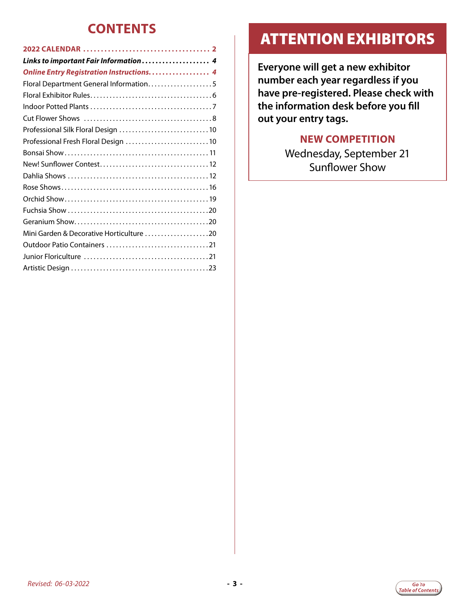## **CONTENTS**

| Links to important Fair Information  4   |
|------------------------------------------|
| Online Entry Registration Instructions 4 |
| Floral Department General Information5   |
|                                          |
|                                          |
|                                          |
|                                          |
| Professional Fresh Floral Design 10      |
|                                          |
|                                          |
|                                          |
|                                          |
|                                          |
|                                          |
|                                          |
| Mini Garden & Decorative Horticulture 20 |
|                                          |
|                                          |
|                                          |
|                                          |

## ATTENTION EXHIBITORS

**Everyone will get a new exhibitor number each year regardless if you have pre-registered. Please check with the information desk before you fill out your entry tags.**

## **NEW COMPETITION**

Wednesday, September 21 Sunflower Show

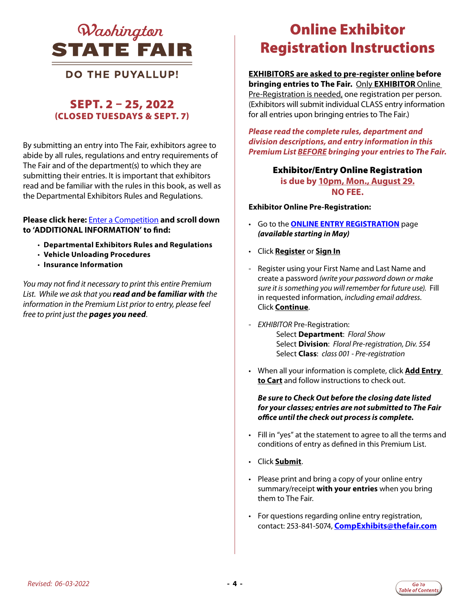<span id="page-3-0"></span>

## **DO THE PUYALLUP!**

## SEPT. 2 – 25, 2022 (CLOSED TUESDAYS & SEPT. 7)

By submitting an entry into The Fair, exhibitors agree to abide by all rules, regulations and entry requirements of The Fair and of the department(s) to which they are submitting their entries. It is important that exhibitors read and be familiar with the rules in this book, as well as the Departmental Exhibitors Rules and Regulations.

#### **Please click here:** [Enter a Competition](https://www.thefair.com/get-involved/competitive-exhibits/) **and scroll down to 'ADDITIONAL INFORMATION' to find:**

- **Departmental Exhibitors Rules and Regulations**
- **Vehicle Unloading Procedures**
- **Insurance Information**

*You may not find it necessary to print this entire Premium List. While we ask that you read and be familiar with the information in the Premium List prior to entry, please feel free to print just the pages you need*.

## *Mashington* **Conline Exhibitor** Online Exhibitor Registration Instructions

## **EXHIBITORS are asked to pre-register online before**

**bringing entries to The Fair.** Only **EXHIBITOR** Online Pre-Registration is needed, one registration per person. (Exhibitors will submit individual CLASS entry information for all entries upon bringing entries to The Fair.)

*Please read the complete rules, department and division descriptions, and entry information in this Premium List BEFORE bringing your entries to The Fair.*

#### Exhibitor/Entry Online Registration **is due by 10pm, Mon., August 29. NO FEE.**

**Exhibitor Online Pre-Registration:**

- Go to the **[ONLINE ENTRY REGISTRATION](https://wwf.fairwire.com/)** page *(available starting in May)*
- Click **Register** or **Sign In**
- Register using your First Name and Last Name and create a password *(write your password down or make sure it is something you will remember for future use).* Fill in requested information, *including email address.* Click **Continue**.
- *EXHIBITOR* Pre-Registration: Select **Department**: *Floral Show* Select **Division**: *Floral Pre-registration, Div. 554* Select **Class**: *class 001 - Pre-registration*
- When all your information is complete, click **Add Entry to Cart** and follow instructions to check out.

*Be sure to Check Out before the closing date listed for your classes; entries are not submitted to The Fair office until the check out process is complete.*

- Fill in "yes" at the statement to agree to all the terms and conditions of entry as defined in this Premium List.
- Click **Submit**.
- Please print and bring a copy of your online entry summary/receipt **with your entries** when you bring them to The Fair.
- For questions regarding online entry registration, contact: 253-841-5074, **[CompExhibits@thefair.com](mailto:CompExhibits%40thefair.com?subject=Floral%20Show)**

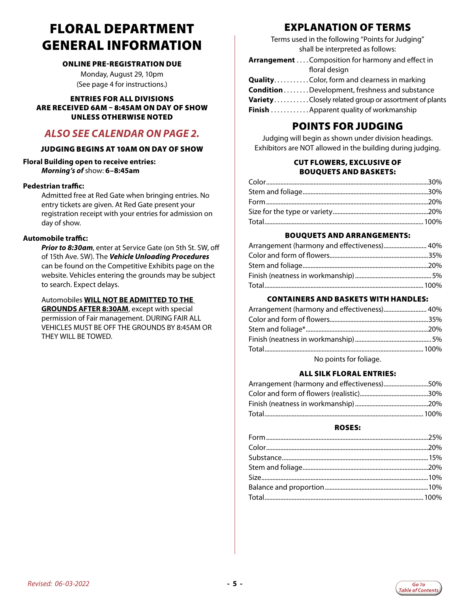## <span id="page-4-0"></span>FLORAL DEPARTMENT GENERAL INFORMATION

#### ONLINE PRE-REGISTRATION DUE

Monday, August 29, 10pm (See page 4 for instructions.)

ENTRIES FOR ALL DIVISIONS ARE RECEIVED 6AM – 8:45AM ON DAY OF SHOW UNLESS OTHERWISE NOTED

## *ALSO SEE CALENDAR ON PAGE 2.*

#### JUDGING BEGINS AT 10AM ON DAY OF SHOW

**Floral Building open to receive entries:**  *Morning's of* show: **6–8:45am** 

#### **Pedestrian traffic:**

Admitted free at Red Gate when bringing entries. No entry tickets are given. At Red Gate present your registration receipt with your entries for admission on day of show.

#### **Automobile traffic:**

*Prior to 8:30am*, enter at Service Gate (on 5th St. SW, off of 15th Ave. SW). The *Vehicle Unloading Procedures*  can be found on the Competitive Exhibits page on the website. Vehicles entering the grounds may be subject to search. Expect delays.

 Automobiles **WILL NOT BE ADMITTED TO THE GROUNDS AFTER 8:30AM**, except with special permission of Fair management. DURING FAIR ALL VEHICLES MUST BE OFF THE GROUNDS BY 8:45AM OR THEY WILL BE TOWED.

## EXPLANATION OF TERMS

Terms used in the following "Points for Judging" shall be interpreted as follows:

| VarietyClosely related group or assortment of plants |
|------------------------------------------------------|
|                                                      |
|                                                      |

## POINTS FOR JUDGING

Judging will begin as shown under division headings. Exhibitors are NOT allowed in the building during judging.

#### CUT FLOWERS, EXCLUSIVE OF BOUQUETS AND BASKETS:

#### BOUQUETS AND ARRANGEMENTS:

#### CONTAINERS AND BASKETS WITH HANDLES:

| Arrangement (harmony and effectiveness) 40% |  |
|---------------------------------------------|--|
|                                             |  |
|                                             |  |
|                                             |  |
|                                             |  |
| No points for foliage.                      |  |

#### ALL SILK FLORAL ENTRIES:

| Arrangement (harmony and effectiveness)50% |  |
|--------------------------------------------|--|
|                                            |  |
|                                            |  |
|                                            |  |

#### ROSES:

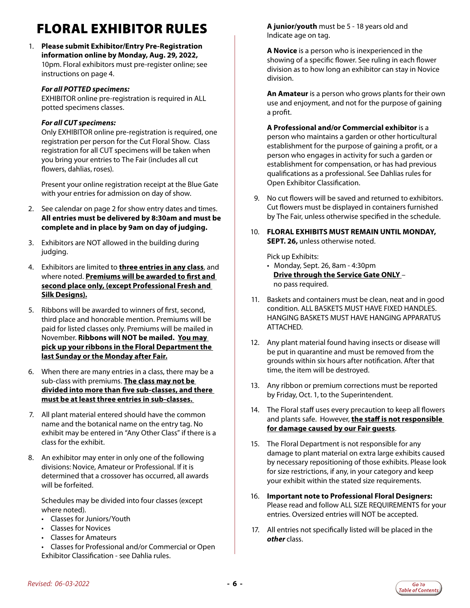## <span id="page-5-0"></span>FLORAL EXHIBITOR RULES

1. **Please submit Exhibitor/Entry Pre-Registration information online by Monday, Aug. 29, 2022,**  10pm. Floral exhibitors must pre-register online; see instructions on page 4.

#### *For all POTTED specimens:*

EXHIBITOR online pre-registration is required in ALL potted specimens classes.

#### *For all CUT specimens:*

Only EXHIBITOR online pre-registration is required, one registration per person for the Cut Floral Show. Class registration for all CUT specimens will be taken when you bring your entries to The Fair (includes all cut flowers, dahlias, roses).

 Present your online registration receipt at the Blue Gate with your entries for admission on day of show.

- 2. See calendar on page 2 for show entry dates and times. **All entries must be delivered by 8:30am and must be complete and in place by 9am on day of judging.**
- 3. Exhibitors are NOT allowed in the building during judging.
- 4. Exhibitors are limited to **three entries in any class**, and where noted. **Premiums will be awarded to first and second place only, (except Professional Fresh and Silk Designs).**
- 5. Ribbons will be awarded to winners of first, second, third place and honorable mention. Premiums will be paid for listed classes only. Premiums will be mailed in November. **Ribbons will NOT be mailed. You may pick up your ribbons in the Floral Department the last Sunday or the Monday after Fair.**
- 6. When there are many entries in a class, there may be a sub-class with premiums. **The class may not be divided into more than five sub-classes, and there must be at least three entries in sub-classes.**
- 7. All plant material entered should have the common name and the botanical name on the entry tag. No exhibit may be entered in "Any Other Class" if there is a class for the exhibit.
- 8. An exhibitor may enter in only one of the following divisions: Novice, Amateur or Professional. If it is determined that a crossover has occurred, all awards will be forfeited.

 Schedules may be divided into four classes (except where noted).

- Classes for Juniors/Youth
- Classes for Novices
- Classes for Amateurs
- Classes for Professional and/or Commercial or Open Exhibitor Classification - see Dahlia rules.

 **A junior/youth** must be 5 - 18 years old and Indicate age on tag.

 **A Novice** is a person who is inexperienced in the showing of a specific flower. See ruling in each flower division as to how long an exhibitor can stay in Novice division.

 **An Amateur** is a person who grows plants for their own use and enjoyment, and not for the purpose of gaining a profit.

 **A Professional and/or Commercial exhibitor** is a person who maintains a garden or other horticultural establishment for the purpose of gaining a profit, or a person who engages in activity for such a garden or establishment for compensation, or has had previous qualifications as a professional. See Dahlias rules for Open Exhibitor Classification.

- 9. No cut flowers will be saved and returned to exhibitors. Cut flowers must be displayed in containers furnished by The Fair, unless otherwise specified in the schedule.
- 10. **FLORAL EXHIBITS MUST REMAIN UNTIL MONDAY, SEPT. 26,** unless otherwise noted.

Pick up Exhibits:

- Monday, Sept. 26, 8am 4:30pm **Drive through the Service Gate ONLY** – no pass required.
- 11. Baskets and containers must be clean, neat and in good condition. ALL BASKETS MUST HAVE FIXED HANDLES. HANGING BASKETS MUST HAVE HANGING APPARATUS ATTACHED.
- 12. Any plant material found having insects or disease will be put in quarantine and must be removed from the grounds within six hours after notification. After that time, the item will be destroyed.
- 13. Any ribbon or premium corrections must be reported by Friday, Oct. 1, to the Superintendent.
- 14. The Floral staff uses every precaution to keep all flowers and plants safe. However, **the staff is not responsible for damage caused by our Fair guests**.
- 15. The Floral Department is not responsible for any damage to plant material on extra large exhibits caused by necessary repositioning of those exhibits. Please look for size restrictions, if any, in your category and keep your exhibit within the stated size requirements.
- 16. **Important note to Professional Floral Designers:** Please read and follow ALL SIZE REQUIREMENTS for your entries. Oversized entries will NOT be accepted.
- 17. All entries not specifically listed will be placed in the *other* class.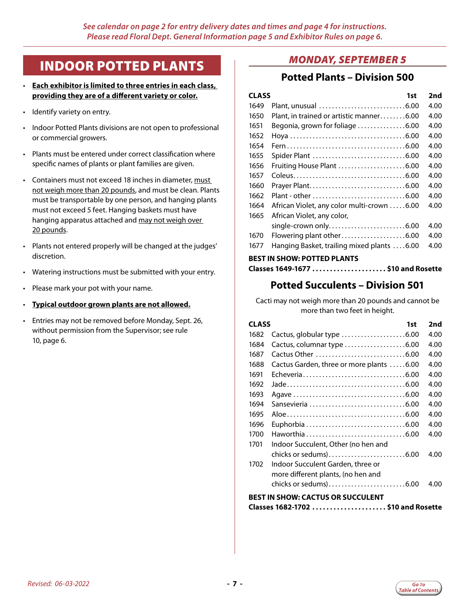## <span id="page-6-0"></span>INDOOR POTTED PLANTS

- **Each exhibitor is limited to three entries in each class, providing they are of a different variety or color.**
- Identify variety on entry.
- Indoor Potted Plants divisions are not open to professional or commercial growers.
- Plants must be entered under correct classification where specific names of plants or plant families are given.
- Containers must not exceed 18 inches in diameter, must not weigh more than 20 pounds, and must be clean. Plants must be transportable by one person, and hanging plants must not exceed 5 feet. Hanging baskets must have hanging apparatus attached and may not weigh over 20 pounds.
- Plants not entered properly will be changed at the judges' discretion.
- Watering instructions must be submitted with your entry.
- Please mark your pot with your name.
- **Typical outdoor grown plants are not allowed.**
- Entries may not be removed before Monday, Sept. 26, without permission from the Supervisor; see rule 10, page 6.

## *MONDAY, SEPTEMBER 5*

## **Potted Plants – Division 500**

| <b>CLASS</b> | 1st                                        | 2nd  |
|--------------|--------------------------------------------|------|
| 1649         | Plant, unusual 6.00                        | 4.00 |
| 1650         | Plant, in trained or artistic manner6.00   | 4.00 |
| 1651         | Begonia, grown for foliage 6.00            | 4.00 |
| 1652         |                                            | 4.00 |
| 1654         |                                            | 4.00 |
| 1655         |                                            | 4.00 |
| 1656         | Fruiting House Plant 6.00                  | 4.00 |
| 1657         |                                            | 4.00 |
| 1660         |                                            | 4.00 |
| 1662         |                                            | 4.00 |
| 1664         | African Violet, any color multi-crown 6.00 | 4.00 |
| 1665         | African Violet, any color,                 |      |
|              | single-crown only6.00                      | 4.00 |
| 1670         | Flowering plant other6.00                  | 4.00 |
| 1677         | Hanging Basket, trailing mixed plants 6.00 | 4.00 |
|              | <b>BEST IN SHOW: POTTED PLANTS</b>         |      |

## **Potted Succulents – Division 501**

Cacti may not weigh more than 20 pounds and cannot be more than two feet in height.

| <b>CLASS</b> |                                          | 1st | 2nd  |
|--------------|------------------------------------------|-----|------|
| 1682         | Cactus, globular type 6.00               |     | 4.00 |
| 1684         | Cactus, columnar type 6.00               |     | 4.00 |
| 1687         |                                          |     | 4.00 |
| 1688         | Cactus Garden, three or more plants 6.00 |     | 4.00 |
| 1691         | Echeveria6.00                            |     | 4.00 |
| 1692         |                                          |     | 4.00 |
| 1693         |                                          |     | 4.00 |
| 1694         |                                          |     | 4.00 |
| 1695         |                                          |     | 4.00 |
| 1696         |                                          |     | 4.00 |
| 1700         | Haworthia6.00                            |     | 4.00 |
| 1701         | Indoor Succulent, Other (no hen and      |     |      |
|              | chicks or sedums)6.00                    |     | 4.00 |
| 1702         | Indoor Succulent Garden, three or        |     |      |
|              | more different plants, (no hen and       |     |      |
|              | chicks or sedums)6.00                    |     | 4.00 |
|              | BEST IN SHOW: CACTUS OR SUCCULENT        |     |      |
|              | Classes 1682-1702  \$10 and Rosette      |     |      |

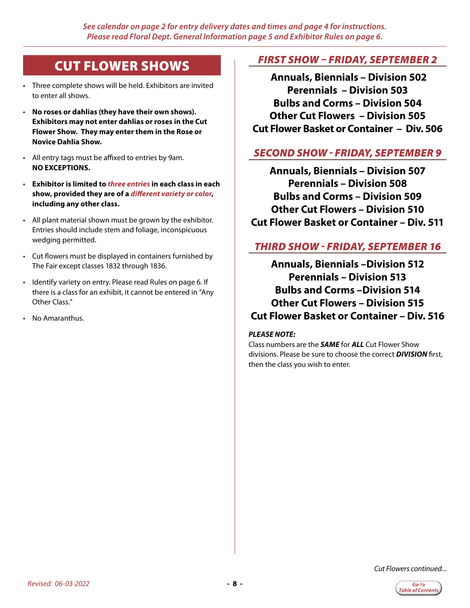## <span id="page-7-0"></span>CUT FLOWER SHOWS

- Three complete shows will be held. Exhibitors are invited to enter all shows.
- **No roses or dahlias (they have their own shows). Exhibitors may not enter dahlias or roses in the Cut Flower Show. They may enter them in the Rose or Novice Dahlia Show.**
- All entry tags must be affixed to entries by 9am. **NO EXCEPTIONS.**
- **Exhibitor is limited to** *three entries* **in each class in each show, provided they are of a** *different variety or color***, including any other class.**
- All plant material shown must be grown by the exhibitor. Entries should include stem and foliage, inconspicuous wedging permitted.
- Cut flowers must be displayed in containers furnished by The Fair except classes 1832 through 1836.
- Identify variety on entry. Please read Rules on page 6. If there is a class for an exhibit, it cannot be entered in "Any Other Class."
- No Amaranthus.

## *FIRST SHOW – FRIDAY, SEPTEMBER 2*

 **Annuals, Biennials – Division 502 Perennials – Division 503 Bulbs and Corms – Division 504 Other Cut Flowers – Division 505 Cut Flower Basket or Container – Div. 506**

## *SECOND SHOW - FRIDAY, SEPTEMBER 9*

**Annuals, Biennials – Division 507 Perennials – Division 508 Bulbs and Corms – Division 509 Other Cut Flowers – Division 510 Cut Flower Basket or Container – Div. 511**

## *THIRD SHOW - FRIDAY, SEPTEMBER 16*

**Annuals, Biennials –Division 512 Perennials – Division 513 Bulbs and Corms –Division 514 Other Cut Flowers – Division 515 Cut Flower Basket or Container – Div. 516**

#### *PLEASE NOTE:*

Class numbers are the *SAME* for *ALL* Cut Flower Show divisions. Please be sure to choose the correct *DIVISION* first, then the class you wish to enter.

*Cut Flowers continued...*

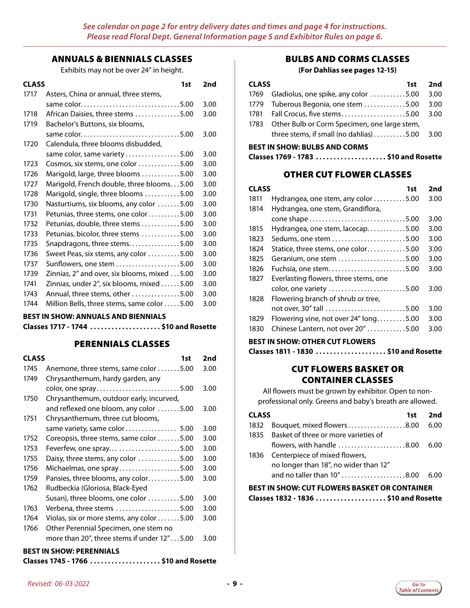#### ANNUALS & BIENNIALS CLASSES

Exhibits may not be over 24" in height.

| <b>CLASS</b> | 1st                                                      | 2nd  |
|--------------|----------------------------------------------------------|------|
| 1717         | Asters, China or annual, three stems,                    |      |
|              |                                                          | 3.00 |
| 1718         | African Daisies, three stems 5.00                        | 3.00 |
| 1719         | Bachelor's Buttons, six blooms,                          |      |
|              | same color5.00                                           | 3.00 |
| 1720         | Calendula, three blooms disbudded,                       |      |
|              | same color, same variety 5.00                            | 3.00 |
| 1723         | Cosmos, six stems, one color $\dots\dots\dots\dots$ 5.00 | 3.00 |
| 1726         | Marigold, large, three blooms 5.00                       | 3.00 |
| 1727         | Marigold, French double, three blooms5.00                | 3.00 |
| 1728         | Marigold, single, three blooms 5.00                      | 3.00 |
| 1730         | Nasturtiums, six blooms, any color 5.00                  | 3.00 |
| 1731         | Petunias, three stems, one color5.00                     | 3.00 |
| 1732         | Petunias, double, three stems 5.00                       | 3.00 |
| 1733         | Petunias, bicolor, three stems 5.00                      | 3.00 |
| 1735         | Snapdragons, three stems5.00                             | 3.00 |
| 1736         | Sweet Peas, six stems, any color 5.00                    | 3.00 |
| 1737         | Sunflowers, one stem 5.00                                | 3.00 |
| 1739         | Zinnias, 2" and over, six blooms, mixed 5.00             | 3.00 |
| 1741         | Zinnias, under 2", six blooms, mixed 5.00                | 3.00 |
| 1743         | Annual, three stems, other 5.00                          | 3.00 |
| 1744         | Million Bells, three stems, same color 5.00              | 3.00 |

**BEST IN SHOW: ANNUALS AND BIENNIALS** 

**Classes 1717 - 1744. . . \$10 and Rosette**

#### PERENNIALS CLASSES

| <b>CLASS</b> | 1st                                                                                                                                                                                                                                                            | 2nd  |
|--------------|----------------------------------------------------------------------------------------------------------------------------------------------------------------------------------------------------------------------------------------------------------------|------|
| 1745         | Anemone, three stems, same color 5.00                                                                                                                                                                                                                          | 3.00 |
| 1749         | Chrysanthemum, hardy garden, any                                                                                                                                                                                                                               |      |
|              | color, one spray5.00                                                                                                                                                                                                                                           | 3.00 |
| 1750         | Chrysanthemum, outdoor early, incurved,                                                                                                                                                                                                                        |      |
|              | and reflexed one bloom, any color 5.00                                                                                                                                                                                                                         | 3.00 |
| 1751         | Chrysanthemum, three cut blooms,                                                                                                                                                                                                                               |      |
|              | same variety, same color  5.00                                                                                                                                                                                                                                 | 3.00 |
| 1752         | Coreopsis, three stems, same color 5.00                                                                                                                                                                                                                        | 3.00 |
| 1753         | Feverfew, one spray 5.00                                                                                                                                                                                                                                       | 3.00 |
| 1755         | Daisy, three stems, any color 5.00                                                                                                                                                                                                                             | 3.00 |
| 1756         | Michaelmas, one spray5.00                                                                                                                                                                                                                                      | 3.00 |
| 1759         | Pansies, three blooms, any color5.00                                                                                                                                                                                                                           | 3.00 |
| 1762         | Rudbeckia (Gloriosa, Black-Eyed                                                                                                                                                                                                                                |      |
|              | Susan), three blooms, one color 5.00                                                                                                                                                                                                                           | 3.00 |
| 1763         | Verbena, three stems 5.00                                                                                                                                                                                                                                      | 3.00 |
| 1764         | Violas, six or more stems, any color 5.00                                                                                                                                                                                                                      | 3.00 |
| 1766         | Other Perennial Specimen, one stem no                                                                                                                                                                                                                          |      |
|              | more than 20", three stems if under 12"5.00                                                                                                                                                                                                                    | 3.00 |
|              | $P_{1}$ $P_{2}$ $P_{3}$ $P_{4}$ $P_{5}$ $P_{6}$ $P_{7}$ $P_{8}$ $P_{9}$ $P_{1}$ $P_{1}$ $P_{2}$ $P_{3}$ $P_{4}$ $P_{5}$ $P_{6}$ $P_{7}$ $P_{8}$ $P_{9}$ $P_{1}$ $P_{1}$ $P_{1}$ $P_{2}$ $P_{3}$ $P_{4}$ $P_{5}$ $P_{6}$ $P_{7}$ $P_{8}$ $P_{9}$ $P_{1}$ $P_{1$ |      |

#### **BEST IN SHOW: PERENNIALS**

| Classes 1745 - 1766 \$10 and Rosette |  |
|--------------------------------------|--|
|--------------------------------------|--|

#### BULBS AND CORMS CLASSES

#### **(For Dahlias see pages 12-15)**

| <b>CLASS</b> |                                                           | 1st | 2nd  |
|--------------|-----------------------------------------------------------|-----|------|
|              | 1769 Gladiolus, one spike, any color 5.00                 |     | 3.00 |
|              | 1779 Tuberous Begonia, one stem 5.00                      |     | 3.00 |
|              | 1781 Fall Crocus, five stems5.00                          |     | 3.00 |
| 1783         | Other Bulb or Corm Specimen, one large stem,              |     |      |
|              | three stems, if small (no dahlias) $\ldots \ldots \ldots$ |     | 3.00 |

#### **BEST IN SHOW: BULBS AND CORMS**

|  | Classes 1769 - 1783 \$10 and Rosette |
|--|--------------------------------------|
|--|--------------------------------------|

#### OTHER CUT FLOWER CLASSES

| <b>CLASS</b> | 1st                                                  | 2nd  |
|--------------|------------------------------------------------------|------|
| 1811         | Hydrangea, one stem, any color $\dots\dots\dots5.00$ | 3.00 |
| 1814         | Hydrangea, one stem, Grandiflora,                    |      |
|              |                                                      | 3.00 |
| 1815         | Hydrangea, one stem, lacecap5.00                     | 3.00 |
| 1823         | Sedums, one stem 5.00                                | 3.00 |
| 1824         | Statice, three stems, one color5.00                  | 3.00 |
| 1825         | Geranium, one stem 5.00                              | 3.00 |
| 1826         | Fuchsia, one stem5.00                                | 3.00 |
| 1827         | Everlasting flowers, three stems, one                |      |
|              | color, one variety 5.00                              | 3.00 |
| 1828         | Flowering branch of shrub or tree,                   |      |
|              | not over, 30" tall 5.00                              | 3.00 |
| 1829         | Flowering vine, not over 24" long5.00                | 3.00 |
| 1830         | Chinese Lantern, not over 20" 5.00                   | 3.00 |

#### **BEST IN SHOW: OTHER CUT FLOWERS**

**Classes 1811 - 1830. . . \$10 and Rosette**

#### CUT FLOWERS BASKET OR CONTAINER CLASSES

All flowers must be grown by exhibitor. Open to nonprofessional only. Greens and baby's breath are allowed.

| <b>CLASS</b>                                         |                                                                        | 1st | 2nd  |  |
|------------------------------------------------------|------------------------------------------------------------------------|-----|------|--|
| 1832                                                 | Bouquet, mixed flowers8.00                                             |     | 6.00 |  |
| 1835                                                 | Basket of three or more varieties of                                   |     |      |  |
|                                                      | flowers, with handle $\ldots \ldots \ldots \ldots \ldots \ldots$ .8.00 |     | 6.00 |  |
| 1836                                                 | Centerpiece of mixed flowers,                                          |     |      |  |
|                                                      | no longer than 18", no wider than 12"                                  |     |      |  |
|                                                      | and no taller than 10" 8.00                                            |     | 6.00 |  |
| <b>BEST IN SHOW: CUT FLOWERS BASKET OR CONTAINER</b> |                                                                        |     |      |  |

|  |  |  |  |  | Classes 1832 - 1836 \$10 and Rosette |  |
|--|--|--|--|--|--------------------------------------|--|
|  |  |  |  |  |                                      |  |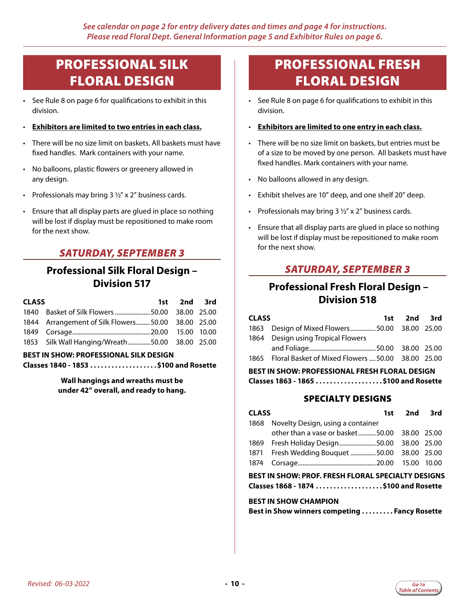## <span id="page-9-0"></span>PROFESSIONAL SILK FLORAL DESIGN

- See Rule 8 on page 6 for qualifications to exhibit in this division.
- **Exhibitors are limited to two entries in each class.**
- There will be no size limit on baskets. All baskets must have fixed handles. Mark containers with your name.
- No balloons, plastic flowers or greenery allowed in any design.
- Professionals may bring  $3\frac{1}{2}$ " x 2" business cards.
- Ensure that all display parts are glued in place so nothing will be lost if display must be repositioned to make room for the next show.

## *SATURDAY, SEPTEMBER 3*

## **Professional Silk Floral Design – Division 517**

| <b>CLASS</b>                                  |                                                   |  | 1st 2nd 3rd |  |  |
|-----------------------------------------------|---------------------------------------------------|--|-------------|--|--|
|                                               | 1840 Basket of Silk Flowers  50.00 38.00 25.00    |  |             |  |  |
|                                               | 1844 Arrangement of Silk Flowers50.00 38.00 25.00 |  |             |  |  |
|                                               |                                                   |  |             |  |  |
|                                               | 1853 Silk Wall Hanging/Wreath50.00 38.00 25.00    |  |             |  |  |
| <b>BEST IN SHOW: PROFESSIONAL SILK DESIGN</b> |                                                   |  |             |  |  |
|                                               | Classes 1840 - 1853 \$100 and Rosette             |  |             |  |  |

**Wall hangings and wreaths must be under 42" overall, and ready to hang.**

## PROFESSIONAL FRESH FLORAL DESIGN

- See Rule 8 on page 6 for qualifications to exhibit in this division.
- **Exhibitors are limited to one entry in each class.**
- There will be no size limit on baskets, but entries must be of a size to be moved by one person. All baskets must have fixed handles. Mark containers with your name.
- No balloons allowed in any design.
- Exhibit shelves are 10" deep, and one shelf 20" deep.
- Professionals may bring  $3\frac{1}{2}$ " x 2" business cards.
- Ensure that all display parts are glued in place so nothing will be lost if display must be repositioned to make room for the next show.

## *SATURDAY, SEPTEMBER 3*

## **Professional Fresh Floral Design – Division 518**

| <b>CLASS</b>                                                                                    |                                                   | 1st 2nd 3rd |  |  |  |
|-------------------------------------------------------------------------------------------------|---------------------------------------------------|-------------|--|--|--|
|                                                                                                 | 1863 Design of Mixed Flowers50.00 38.00 25.00     |             |  |  |  |
|                                                                                                 | 1864 Design using Tropical Flowers                |             |  |  |  |
|                                                                                                 |                                                   |             |  |  |  |
| 1865                                                                                            | Floral Basket of Mixed Flowers  50.00 38.00 25.00 |             |  |  |  |
| <b>BEST IN SHOW: PROFESSIONAL FRESH FLORAL DESIGN</b><br>Classes 1863 - 1865  \$100 and Rosette |                                                   |             |  |  |  |

#### SPECIALTY DESIGNS

| <b>CLASS</b> |                                                                                                    | 1st 2nd 3rd |  |
|--------------|----------------------------------------------------------------------------------------------------|-------------|--|
| 1868         | Novelty Design, using a container                                                                  |             |  |
|              | other than a vase or basket50.00 38.00 25.00                                                       |             |  |
|              | 1869 Fresh Holiday Design 50.00 38.00 25.00                                                        |             |  |
|              | 1871 Fresh Wedding Bouquet 50.00 38.00 25.00                                                       |             |  |
| 1874         |                                                                                                    |             |  |
|              | <b>BEST IN SHOW: PROF. FRESH FLORAL SPECIALTY DESIGNS</b><br>Classes 1868 - 1874 \$100 and Rosette |             |  |
|              | <b>BEST IN SHOW CHAMPION</b>                                                                       |             |  |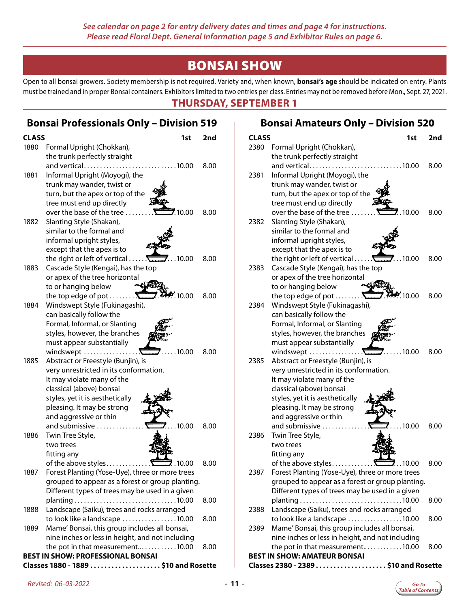## BONSAI SHOW

<span id="page-10-0"></span>Open to all bonsai growers. Society membership is not required. Variety and, when known, **bonsai's age** should be indicated on entry. Plants must be trained and in proper Bonsai containers. Exhibitors limited to two entries per class. Entries may not be removed before Mon., Sept. 27, 2021.

### **THURSDAY, SEPTEMBER 1**

|              | <b>Bonsai Professionals Only - Division 519</b>  |      |
|--------------|--------------------------------------------------|------|
| <b>CLASS</b> | 1st                                              | 2nd  |
| 1880         | Formal Upright (Chokkan),                        |      |
|              | the trunk perfectly straight                     |      |
|              | and vertical<br>$\dots$ 10.00                    | 8.00 |
| 1881         | Informal Upright (Moyogi), the                   |      |
|              | trunk may wander, twist or                       |      |
|              | turn, but the apex or top of the                 |      |
|              | tree must end up directly                        |      |
|              | over the base of the tree<br>.10.00              | 8.00 |
| 1882         | Slanting Style (Shakan),                         |      |
|              | similar to the formal and                        |      |
|              | informal upright styles,                         |      |
|              | except that the apex is to                       |      |
|              | the right or left of vertical<br>.10.00          | 8.00 |
| 1883         | Cascade Style (Kengai), has the top              |      |
|              | or apex of the tree horizontal                   |      |
|              | to or hanging below                              |      |
|              | the top edge of pot<br>.10.00                    | 8.00 |
| 1884         | Windswept Style (Fukinagashi),                   |      |
|              | can basically follow the                         |      |
|              | Formal, Informal, or Slanting                    |      |
|              | styles, however, the branches                    |      |
|              | must appear substantially                        |      |
|              | windswept<br>.10.00                              | 8.00 |
| 1885         | Abstract or Freestyle (Bunjin), is               |      |
|              | very unrestricted in its conformation.           |      |
|              | It may violate many of the                       |      |
|              | classical (above) bonsai                         |      |
|              | styles, yet it is aesthetically                  |      |
|              | pleasing. It may be strong                       |      |
|              | and aggressive or thin                           |      |
|              | and submissive<br>.10.00                         | 8.00 |
| 1886         | Twin Tree Style,                                 |      |
|              | two trees                                        |      |
|              | fitting any                                      |      |
|              |                                                  | 8.00 |
| 1887         | Forest Planting (Yose-Uye), three or more trees  |      |
|              | grouped to appear as a forest or group planting. |      |
|              | Different types of trees may be used in a given  |      |
|              |                                                  | 8.00 |
| 1888         | Landscape (Saiku), trees and rocks arranged      |      |
|              | to look like a landscape 10.00                   | 8.00 |
| 1889         | Mame' Bonsai, this group includes all bonsai,    |      |
|              | nine inches or less in height, and not including |      |
|              | the pot in that measurement10.00                 | 8.00 |
|              | <b>BEST IN SHOW: PROFESSIONAL BONSAI</b>         |      |
|              | Classes 1880 - 1889 \$10 and Rosette             |      |

## **Bonsai Amateurs Only – Division 520**

| <b>CLASS</b> | 1st                                              | 2nd  |
|--------------|--------------------------------------------------|------|
| 2380         | Formal Upright (Chokkan),                        |      |
|              | the trunk perfectly straight                     |      |
|              | and vertical<br>$\dots$ 10.00                    | 8.00 |
| 2381         | Informal Upright (Moyogi), the                   |      |
|              | trunk may wander, twist or                       |      |
|              | turn, but the apex or top of the                 |      |
|              | tree must end up directly                        |      |
|              | over the base of the tree<br>7.10.00             | 8.00 |
| 2382         | Slanting Style (Shakan),                         |      |
|              | similar to the formal and                        |      |
|              | informal upright styles,                         |      |
|              | except that the apex is to                       |      |
|              | the right or left of vertical<br>$\sum$ 10.00    | 8.00 |
| 2383         | Cascade Style (Kengai), has the top              |      |
|              | or apex of the tree horizontal                   |      |
|              | to or hanging below                              |      |
|              | the top edge of pot $\dots$ .<br>10.00           | 8.00 |
| 2384         | Windswept Style (Fukinagashi),                   |      |
|              | can basically follow the                         |      |
|              | Formal, Informal, or Slanting                    |      |
|              | styles, however, the branches                    |      |
|              | must appear substantially                        |      |
|              | windswept<br>.10.00<br>Λ                         | 8.00 |
| 2385         | Abstract or Freestyle (Bunjin), is               |      |
|              | very unrestricted in its conformation.           |      |
|              | It may violate many of the                       |      |
|              | classical (above) bonsai                         |      |
|              | styles, yet it is aesthetically                  |      |
|              | pleasing. It may be strong                       |      |
|              | and aggressive or thin                           |      |
|              | and submissive<br>.10.00                         | 8.00 |
| 2386         | Twin Tree Style,                                 |      |
|              | two trees                                        |      |
|              | fitting any                                      |      |
|              | of the above styles<br>.10.00                    | 8.00 |
| 2387         | Forest Planting (Yose-Uye), three or more trees  |      |
|              | grouped to appear as a forest or group planting. |      |
|              | Different types of trees may be used in a given  |      |
|              |                                                  | 8.00 |
|              |                                                  |      |
| 2388         | Landscape (Saiku), trees and rocks arranged      |      |
|              | to look like a landscape 10.00                   | 8.00 |
| 2389         | Mame' Bonsai, this group includes all bonsai,    |      |
|              | nine inches or less in height, and not including |      |
|              | the pot in that measurement10.00                 | 8.00 |
|              | <b>BEST IN SHOW: AMATEUR BONSAI</b>              |      |
|              | Classes 2380 - 2389\$10 and Rosette              |      |

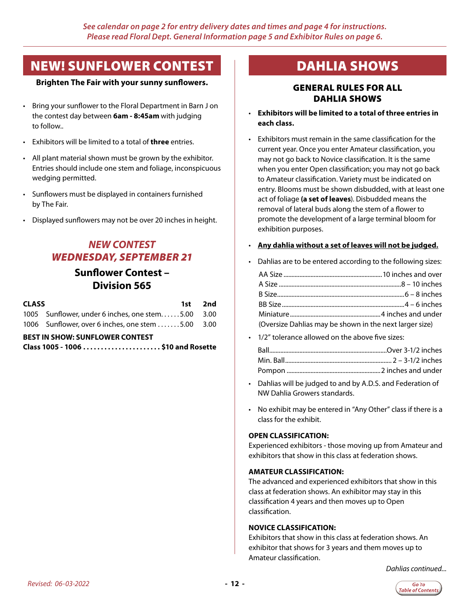## <span id="page-11-0"></span>NEW! SUNFLOWER CONTEST

#### **Brighten The Fair with your sunny sunflowers.**

- Bring your sunflower to the Floral Department in Barn J on the contest day between **6am - 8:45am** with judging to follow..
- Exhibitors will be limited to a total of **three** entries.
- All plant material shown must be grown by the exhibitor. Entries should include one stem and foliage, inconspicuous wedging permitted.
- Sunflowers must be displayed in containers furnished by The Fair.
- Displayed sunflowers may not be over 20 inches in height.

## *NEW CONTEST WEDNESDAY, SEPTEMBER 21*

## **Sunflower Contest – Division 565**

| <b>CLASS</b> |                                                                 | 1st 2nd |
|--------------|-----------------------------------------------------------------|---------|
|              | 1005 Sunflower, under 6 inches, one stem5.00 3.00               |         |
|              | 1006 Sunflower, over 6 inches, one stem $\dots \dots 5.00$ 3.00 |         |

#### **BEST IN SHOW: SUNFLOWER CONTEST**

| Class 1005 - 1006 \$10 and Rosette |  |
|------------------------------------|--|
|------------------------------------|--|

## DAHLIA SHOWS

#### GENERAL RULES FOR ALL DAHLIA SHOWS

- **Exhibitors will be limited to a total of three entries in each class.**
- Exhibitors must remain in the same classification for the current year. Once you enter Amateur classification, you may not go back to Novice classification. It is the same when you enter Open classification; you may not go back to Amateur classification. Variety must be indicated on entry. Blooms must be shown disbudded, with at least one act of foliage **(a set of leaves**). Disbudded means the removal of lateral buds along the stem of a flower to promote the development of a large terminal bloom for exhibition purposes.

#### • **Any dahlia without a set of leaves will not be judged.**

• Dahlias are to be entered according to the following sizes:

| (Oversize Dahlias may be shown in the next larger size) |  |
|---------------------------------------------------------|--|

• 1/2" tolerance allowed on the above five sizes:

- Dahlias will be judged to and by A.D.S. and Federation of NW Dahlia Growers standards.
- No exhibit may be entered in "Any Other" class if there is a class for the exhibit.

#### **OPEN CLASSIFICATION:**

Experienced exhibitors - those moving up from Amateur and exhibitors that show in this class at federation shows.

#### **AMATEUR CLASSIFICATION:**

The advanced and experienced exhibitors that show in this class at federation shows. An exhibitor may stay in this classification 4 years and then moves up to Open classification.

#### **NOVICE CLASSIFICATION:**

Exhibitors that show in this class at federation shows. An exhibitor that shows for 3 years and them moves up to Amateur classification.

*Dahlias continued...*

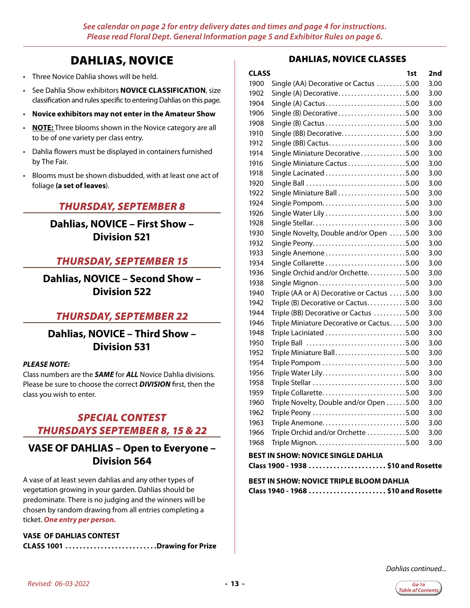## DAHLIAS, NOVICE

- Three Novice Dahlia shows will be held.
- See Dahlia Show exhibitors **NOVICE CLASSIFICATION**, size classification and rules specific to entering Dahlias on this page.
- **Novice exhibitors may not enter in the Amateur Show**
- **NOTE:** Three blooms shown in the Novice category are all to be of one variety per class entry.
- Dahlia flowers must be displayed in containers furnished by The Fair.
- Blooms must be shown disbudded, with at least one act of foliage **(a set of leaves**).

### *THURSDAY, SEPTEMBER 8*

**Dahlias, NOVICE – First Show – Division 521**

## *THURSDAY, SEPTEMBER 15*

**Dahlias, NOVICE – Second Show – Division 522**

#### *THURSDAY, SEPTEMBER 22*

**Dahlias, NOVICE – Third Show – Division 531**

#### *PLEASE NOTE:*

Class numbers are the *SAME* for *ALL* Novice Dahlia divisions. Please be sure to choose the correct *DIVISION* first, then the class you wish to enter.

## *SPECIAL CONTEST THURSDAYS SEPTEMBER 8, 15 & 22*

## **VASE OF DAHLIAS – Open to Everyone – Division 564**

A vase of at least seven dahlias and any other types of vegetation growing in your garden. Dahlias should be predominate. There is no judging and the winners will be chosen by random drawing from all entries completing a ticket. *One entry per person.*

**VASE OF DAHLIAS CONTEST CLASS 1001 ..........................Drawing for Prize** 

#### DAHLIAS, NOVICE CLASSES

| <b>CLASS</b> |                                            | 1st | 2nd  |
|--------------|--------------------------------------------|-----|------|
| 1900         | Single (AA) Decorative or Cactus 5.00      |     | 3.00 |
| 1902         | Single (A) Decorative5.00                  |     | 3.00 |
| 1904         | Single (A) Cactus5.00                      |     | 3.00 |
| 1906         | Single (B) Decorative5.00                  |     | 3.00 |
| 1908         |                                            |     | 3.00 |
| 1910         | Single (BB) Decorative5.00                 |     | 3.00 |
| 1912         | Single (BB) Cactus5.00                     |     | 3.00 |
| 1914         | Single Miniature Decorative5.00            |     | 3.00 |
| 1916         | Single Miniature Cactus 5.00               |     | 3.00 |
| 1918         | Single Lacinated 5.00                      |     | 3.00 |
| 1920         | Single Ball 5.00                           |     | 3.00 |
| 1922         | Single Miniature Ball 5.00                 |     | 3.00 |
| 1924         | Single Pompom5.00                          |     | 3.00 |
| 1926         | Single Water Lily 5.00                     |     | 3.00 |
| 1928         | Single Stellar5.00                         |     | 3.00 |
| 1930         | Single Novelty, Double and/or Open 5.00    |     | 3.00 |
| 1932         | Single Peony5.00                           |     | 3.00 |
| 1933         | Single Anemone5.00                         |     | 3.00 |
| 1934         | Single Collarette 5.00                     |     | 3.00 |
| 1936         | Single Orchid and/or Orchette5.00          |     | 3.00 |
| 1938         |                                            |     | 3.00 |
| 1940         | Triple (AA or A) Decorative or Cactus 5.00 |     | 3.00 |
| 1942         | Triple (B) Decorative or Cactus5.00        |     | 3.00 |
| 1944         | Triple (BB) Decorative or Cactus 5.00      |     | 3.00 |
| 1946         | Triple Miniature Decorative or Cactus5.00  |     | 3.00 |
| 1948         | Triple Laciniated 5.00                     |     | 3.00 |
| 1950         | Triple Ball 5.00                           |     | 3.00 |
| 1952         | Triple Miniature Ball5.00                  |     | 3.00 |
| 1954         | Triple Pompom 5.00                         |     | 3.00 |
| 1956         | Triple Water Lily5.00                      |     | 3.00 |
| 1958         | Triple Stellar 5.00                        |     | 3.00 |
| 1959         | Triple Collarette5.00                      |     | 3.00 |
| 1960         | Triple Novelty, Double and/or Open 5.00    |     | 3.00 |
| 1962         | Triple Peony 5.00                          |     | 3.00 |
| 1963         | Triple Anemone5.00                         |     | 3.00 |
| 1966         | Triple Orchid and/or Orchette 5.00         |     | 3.00 |
| 1968         | Triple Mignon5.00                          |     | 3.00 |
|              |                                            |     |      |

#### **BEST IN SHOW: NOVICE SINGLE DAHLIA**

**Class 1900 - 1938. . . \$10 and Rosette**

#### **BEST IN SHOW: NOVICE TRIPLE BLOOM DAHLIA Class 1940 - 1968. . . \$10 and Rosette**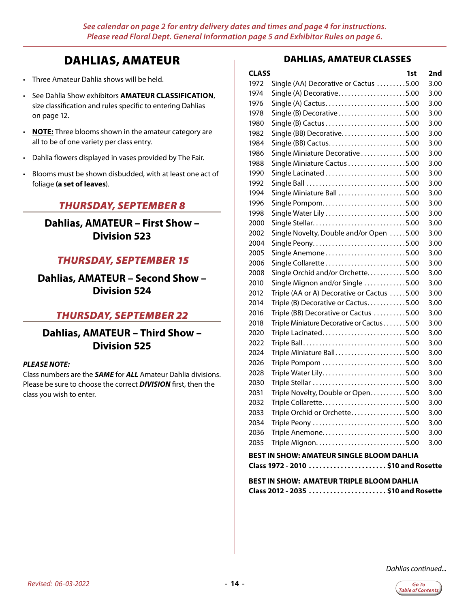## DAHLIAS, AMATEUR

- Three Amateur Dahlia shows will be held.
- See Dahlia Show exhibitors **AMATEUR CLASSIFICATION**, size classification and rules specific to entering Dahlias on page 12.
- **NOTE:** Three blooms shown in the amateur category are all to be of one variety per class entry.
- Dahlia flowers displayed in vases provided by The Fair.
- Blooms must be shown disbudded, with at least one act of foliage **(a set of leaves**).

## *THURSDAY, SEPTEMBER 8*

**Dahlias, AMATEUR – First Show – Division 523**

## *THURSDAY, SEPTEMBER 15*

**Dahlias, AMATEUR – Second Show – Division 524**

## *THURSDAY, SEPTEMBER 22*

**Dahlias, AMATEUR – Third Show – Division 525**

#### *PLEASE NOTE:*

Class numbers are the *SAME* for *ALL* Amateur Dahlia divisions. Please be sure to choose the correct *DIVISION* first, then the class you wish to enter.

#### DAHLIAS, AMATEUR CLASSES

| <b>CLASS</b>                                                                    |                                            | 1st | 2nd  |
|---------------------------------------------------------------------------------|--------------------------------------------|-----|------|
| 1972                                                                            | Single (AA) Decorative or Cactus 5.00      |     | 3.00 |
| 1974                                                                            | Single (A) Decorative5.00                  |     | 3.00 |
| 1976                                                                            | Single (A) Cactus5.00                      |     | 3.00 |
| 1978                                                                            | Single (B) Decorative5.00                  |     | 3.00 |
| 1980                                                                            |                                            |     | 3.00 |
| 1982                                                                            | Single (BB) Decorative5.00                 |     | 3.00 |
| 1984                                                                            | Single (BB) Cactus5.00                     |     | 3.00 |
| 1986                                                                            | Single Miniature Decorative5.00            |     | 3.00 |
| 1988                                                                            | Single Miniature Cactus 5.00               |     | 3.00 |
| 1990                                                                            | Single Lacinated 5.00                      |     | 3.00 |
| 1992                                                                            | Single Ball 5.00                           |     | 3.00 |
| 1994                                                                            | Single Miniature Ball 5.00                 |     | 3.00 |
| 1996                                                                            | Single Pompom5.00                          |     | 3.00 |
| 1998                                                                            | Single Water Lily 5.00                     |     | 3.00 |
| 2000                                                                            | Single Stellar5.00                         |     | 3.00 |
| 2002                                                                            | Single Novelty, Double and/or Open 5.00    |     | 3.00 |
| 2004                                                                            | Single Peony5.00                           |     | 3.00 |
| 2005                                                                            | Single Anemone5.00                         |     | 3.00 |
| 2006                                                                            | Single Collarette 5.00                     |     | 3.00 |
| 2008                                                                            | Single Orchid and/or Orchette5.00          |     | 3.00 |
| 2010                                                                            | Single Mignon and/or Single 5.00           |     | 3.00 |
| 2012                                                                            | Triple (AA or A) Decorative or Cactus 5.00 |     | 3.00 |
| 2014                                                                            | Triple (B) Decorative or Cactus5.00        |     | 3.00 |
| 2016                                                                            | Triple (BB) Decorative or Cactus 5.00      |     | 3.00 |
| 2018                                                                            | Triple Miniature Decorative or Cactus 5.00 |     | 3.00 |
| 2020                                                                            | Triple Lacinated5.00                       |     | 3.00 |
| 2022                                                                            | Triple Ball5.00                            |     | 3.00 |
| 2024                                                                            | Triple Miniature Ball5.00                  |     | 3.00 |
| 2026                                                                            | Triple Pompom 5.00                         |     | 3.00 |
| 2028                                                                            | Triple Water Lily5.00                      |     | 3.00 |
| 2030                                                                            | Triple Stellar 5.00                        |     | 3.00 |
| 2031                                                                            | Triple Novelty, Double or Open5.00         |     | 3.00 |
| 2032                                                                            | Triple Collarette5.00                      |     | 3.00 |
| 2033                                                                            | Triple Orchid or Orchette5.00              |     | 3.00 |
| 2034                                                                            |                                            |     | 3.00 |
| 2036                                                                            | Triple Anemone5.00                         |     | 3.00 |
| 2035                                                                            |                                            |     | 3.00 |
| BEST IN SHOW: AMATEUR SINGLE BLOOM DAHLIA<br>Class 1972 - 2010 \$10 and Rosette |                                            |     |      |
|                                                                                 |                                            |     |      |

**BEST IN SHOW: AMATEUR TRIPLE BLOOM DAHLIA Class 2012 - 2035 . . \$10 and Rosette**

*Dahlias continued...*

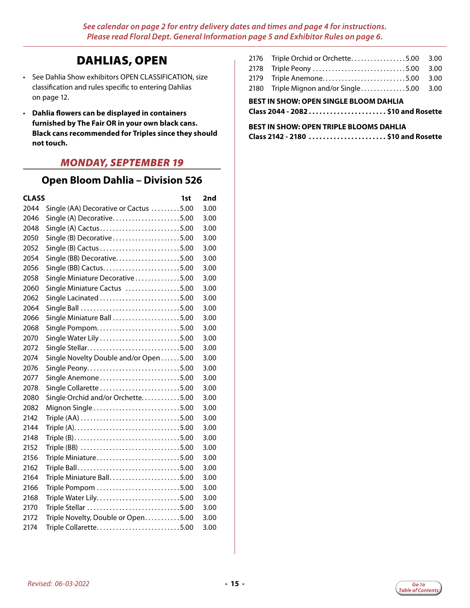## DAHLIAS, OPEN

- See Dahlia Show exhibitors OPEN CLASSIFICATION, size classification and rules specific to entering Dahlias on page 12.
- **Dahlia flowers can be displayed in containers furnished by The Fair OR in your own black cans. Black cans recommended for Triples since they should not touch.**

## *MONDAY, SEPTEMBER 19*

## **Open Bloom Dahlia – Division 526**

| <b>CLASS</b> |                                       | 1st | 2nd  |
|--------------|---------------------------------------|-----|------|
| 2044         | Single (AA) Decorative or Cactus 5.00 |     | 3.00 |
| 2046         | Single (A) Decorative5.00             |     | 3.00 |
| 2048         | Single (A) Cactus5.00                 |     | 3.00 |
| 2050         | Single (B) Decorative5.00             |     | 3.00 |
| 2052         |                                       |     | 3.00 |
| 2054         | Single (BB) Decorative5.00            |     | 3.00 |
| 2056         |                                       |     | 3.00 |
| 2058         | Single Miniature Decorative5.00       |     | 3.00 |
| 2060         | Single Miniature Cactus 5.00          |     | 3.00 |
| 2062         | Single Lacinated 5.00                 |     | 3.00 |
| 2064         | Single Ball 5.00                      |     | 3.00 |
| 2066         | Single Miniature Ball 5.00            |     | 3.00 |
| 2068         | Single Pompom5.00                     |     | 3.00 |
| 2070         | Single Water Lily 5.00                |     | 3.00 |
| 2072         | Single Stellar5.00                    |     | 3.00 |
| 2074         | Single Novelty Double and/or Open5.00 |     | 3.00 |
| 2076         |                                       |     | 3.00 |
| 2077         | Single Anemone5.00                    |     | 3.00 |
| 2078         | Single Collarette 5.00                |     | 3.00 |
| 2080         | Single Orchid and/or Orchette5.00     |     | 3.00 |
| 2082         | Mignon Single 5.00                    |     | 3.00 |
| 2142         | Triple (AA) 5.00                      |     | 3.00 |
| 2144         |                                       |     | 3.00 |
| 2148         |                                       |     | 3.00 |
| 2152         |                                       |     | 3.00 |
| 2156         | Triple Miniature5.00                  |     | 3.00 |
| 2162         | Triple Ball5.00                       |     | 3.00 |
| 2164         | Triple Miniature Ball5.00             |     | 3.00 |
| 2166         | Triple Pompom 5.00                    |     | 3.00 |
| 2168         | Triple Water Lily5.00                 |     | 3.00 |
| 2170         |                                       |     | 3.00 |
| 2172         | Triple Novelty, Double or Open5.00    |     | 3.00 |
| 2174         | Triple Collarette5.00                 |     | 3.00 |

| <b>BEST IN SHOW: OPEN SINGLE BLOOM DAHLIA</b> |                                           |  |  |
|-----------------------------------------------|-------------------------------------------|--|--|
|                                               | 2180 Triple Mignon and/or Single5.00 3.00 |  |  |
|                                               | 2179 Triple Anemone5.00 3.00              |  |  |
|                                               |                                           |  |  |
|                                               | 2176 Triple Orchid or Orchette5.00 3.00   |  |  |

**Class 2044 - 2082. . . \$10 and Rosette**

### **BEST IN SHOW: OPEN TRIPLE BLOOMS DAHLIA**

**Class 2142 - 2180. . . \$10 and Rosette**

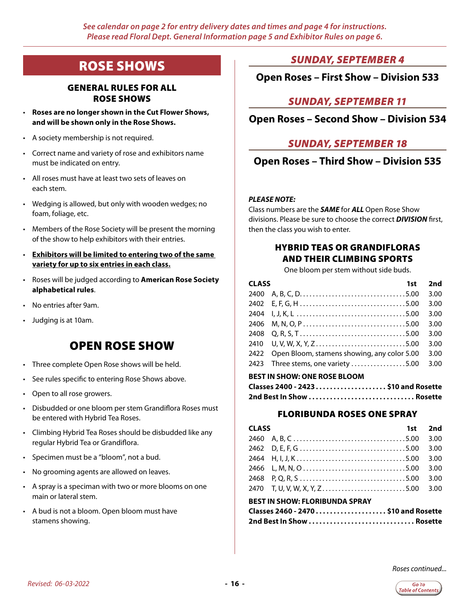## <span id="page-15-0"></span>ROSE SHOWS

#### GENERAL RULES FOR ALL ROSE SHOWS

- **Roses are no longer shown in the Cut Flower Shows, and will be shown only in the Rose Shows.**
- A society membership is not required.
- Correct name and variety of rose and exhibitors name must be indicated on entry.
- All roses must have at least two sets of leaves on each stem.
- Wedging is allowed, but only with wooden wedges; no foam, foliage, etc.
- Members of the Rose Society will be present the morning of the show to help exhibitors with their entries.
- **Exhibitors will be limited to entering two of the same variety for up to six entries in each class.**
- Roses will be judged according to **American Rose Society alphabetical rules**.
- No entries after 9am.
- Judging is at 10am.

## OPEN ROSE SHOW

- Three complete Open Rose shows will be held.
- See rules specific to entering Rose Shows above.
- Open to all rose growers.
- Disbudded or one bloom per stem Grandiflora Roses must be entered with Hybrid Tea Roses.
- Climbing Hybrid Tea Roses should be disbudded like any regular Hybrid Tea or Grandiflora.
- Specimen must be a "bloom", not a bud.
- No grooming agents are allowed on leaves.
- A spray is a speciman with two or more blooms on one main or lateral stem.
- A bud is not a bloom. Open bloom must have stamens showing.

### *SUNDAY, SEPTEMBER 4*

### **Open Roses – First Show – Division 533**

## *SUNDAY, SEPTEMBER 11*

### **Open Roses – Second Show – Division 534**

### *SUNDAY, SEPTEMBER 18*

### **Open Roses – Third Show – Division 535**

#### *PLEASE NOTE:*

Class numbers are the *SAME* for *ALL* Open Rose Show divisions. Please be sure to choose the correct *DIVISION* first, then the class you wish to enter.

#### HYBRID TEAS OR GRANDIFLORAS AND THEIR CLIMBING SPORTS

One bloom per stem without side buds.

| <b>CLASS</b> | 1st                                         | 2nd  |
|--------------|---------------------------------------------|------|
|              |                                             | 3.00 |
|              |                                             | 3.00 |
|              |                                             | 3.00 |
|              |                                             | 3.00 |
| 2408         |                                             | 3.00 |
|              | 2410 U, V, W, X, Y, Z5.00                   | 3.00 |
| 2422         | Open Bloom, stamens showing, any color 5.00 | 3.00 |
|              | 2423 Three stems, one variety 5.00          | 3.00 |
|              |                                             |      |

#### **BEST IN SHOW: ONE ROSE BLOOM**

| Classes 2400 - 2423 \$10 and Rosette |  |
|--------------------------------------|--|
|                                      |  |

#### FLORIBUNDA ROSES ONE SPRAY

| <b>CLASS</b>                   |                              | $1st$ 2nd |      |
|--------------------------------|------------------------------|-----------|------|
|                                |                              |           | 3.00 |
|                                |                              |           | 3.00 |
|                                |                              |           | 3.00 |
|                                |                              |           | 3.00 |
|                                |                              |           | 3.00 |
|                                | 2470 T, U, V, W, X, Y, Z5.00 |           | 3.00 |
| BEST IN SHOW: FLORIBUNDA SPRAY |                              |           |      |

| Classes 2460 - 2470 \$10 and Rosette |  |
|--------------------------------------|--|
|                                      |  |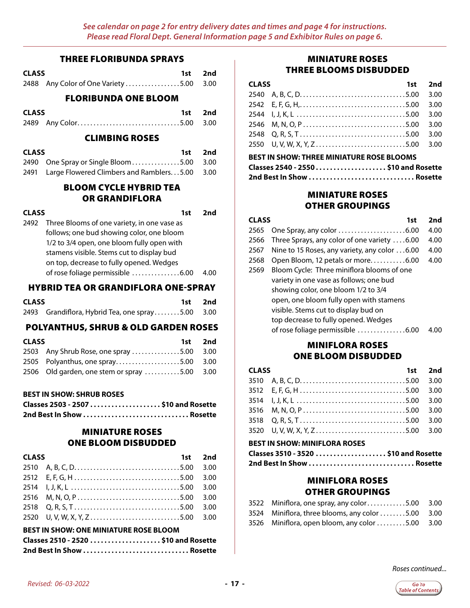#### THREE FLORIBUNDA SPRAYS

| CLASS |                                         | 1st 2nd |
|-------|-----------------------------------------|---------|
|       | 2488 Any Color of One Variety 5.00 3.00 |         |

FLORIBUNDA ONE BLOOM

| <b>CLASS</b> |                         | 1st 2nd |
|--------------|-------------------------|---------|
|              | 2489 Any Color5.00 3.00 |         |

#### CLIMBING ROSES

| <b>CLASS</b> |                                                    | 1st 2nd |  |
|--------------|----------------------------------------------------|---------|--|
|              | 2490 One Spray or Single Bloom5.00 3.00            |         |  |
|              | 2491 Large Flowered Climbers and Ramblers5.00 3.00 |         |  |

### BLOOM CYCLE HYBRID TEA OR GRANDIFLORA

| <b>CLASS</b> |                                             | 1st | 2nd |
|--------------|---------------------------------------------|-----|-----|
| 2492         | Three Blooms of one variety, in one vase as |     |     |
|              | follows; one bud showing color, one bloom   |     |     |
|              | 1/2 to 3/4 open, one bloom fully open with  |     |     |
|              | stamens visible. Stems cut to display bud   |     |     |
|              | on top, decrease to fully opened. Wedges    |     |     |
|              | of rose foliage permissible 6.00            |     |     |

#### HYBRID TEA OR GRANDIFLORA ONE-SPRAY

| <b>CLASS</b> |                                                  | 1st 2nd |
|--------------|--------------------------------------------------|---------|
|              | 2493 Grandiflora, Hybrid Tea, one spray5.00 3.00 |         |

#### POLYANTHUS, SHRUB & OLD GARDEN ROSES

| <b>CLASS</b> |                                              | 1st 2nd |
|--------------|----------------------------------------------|---------|
|              | 2503 Any Shrub Rose, one spray 5.00 3.00     |         |
|              | 2505 Polyanthus, one spray5.00 3.00          |         |
|              | 2506 Old garden, one stem or spray 5.00 3.00 |         |

#### **BEST IN SHOW: SHRUB ROSES**

| Classes 2503 - 2507 \$10 and Rosette |  |
|--------------------------------------|--|
| 2nd Best In Show  Rosette            |  |

#### MINIATURE ROSES ONE BLOOM DISBUDDED

| <b>CLASS</b><br>1st                           |                                                                                                       |  | 2nd  |  |
|-----------------------------------------------|-------------------------------------------------------------------------------------------------------|--|------|--|
| 2510                                          |                                                                                                       |  | 3.00 |  |
| 2512                                          |                                                                                                       |  | 3.00 |  |
| 2514                                          |                                                                                                       |  | 3.00 |  |
| 2516                                          |                                                                                                       |  | 3.00 |  |
| 2518                                          | $Q, R, S, T \ldots \ldots \ldots \ldots \ldots \ldots \ldots \ldots \ldots \ldots \ldots \ldots 5.00$ |  | 3.00 |  |
| 2520                                          | U, V, W, X, Y, Z5.00                                                                                  |  | 3.00 |  |
| <b>BEST IN SHOW: ONE MINIATURE ROSE BLOOM</b> |                                                                                                       |  |      |  |
| Classes 2510 - 2520  \$10 and Rosette         |                                                                                                       |  |      |  |
|                                               |                                                                                                       |  |      |  |

### MINIATURE ROSES THREE BLOOMS DISBUDDED

| <b>CLASS</b><br>1st 2nd |  |      |
|-------------------------|--|------|
|                         |  |      |
|                         |  |      |
|                         |  |      |
|                         |  |      |
|                         |  | 3.00 |
|                         |  |      |
|                         |  |      |

#### **BEST IN SHOW: THREE MINIATURE ROSE BLOOMS Classes 2540 - 2550. . . \$10 and Rosette 2nd Best In Show. . Rosette**

### MINIATURE ROSES OTHER GROUPINGS

| CLASS | 1st                                           | 2nd  |
|-------|-----------------------------------------------|------|
| 2565  |                                               | 4.00 |
| 2566  | Three Sprays, any color of one variety 6.00   | 4.00 |
| 2567  | Nine to 15 Roses, any variety, any color 6.00 | 4.00 |
| 2568  | Open Bloom, 12 petals or more6.00             | 4.00 |
| 2569  | Bloom Cycle: Three miniflora blooms of one    |      |
|       | variety in one vase as follows; one bud       |      |
|       | showing color, one bloom 1/2 to 3/4           |      |
|       | open, one bloom fully open with stamens       |      |
|       | visible. Stems cut to display bud on          |      |
|       | top decrease to fully opened. Wedges          |      |
|       | of rose foliage permissible 6.00              | 4 OO |
|       |                                               |      |

### MINIFLORA ROSES ONE BLOOM DISBUDDED

| <b>CLASS</b> |  | 1st 2nd |
|--------------|--|---------|
|              |  |         |
|              |  |         |
|              |  |         |
|              |  |         |
|              |  |         |
|              |  |         |

#### **BEST IN SHOW: MINIFLORA ROSES**

| Classes 3510 - 3520 \$10 and Rosette |  |
|--------------------------------------|--|
|                                      |  |

#### MINIFLORA ROSES OTHER GROUPINGS

| 3522 Miniflora, one spray, any color5.00 3.00     |  |
|---------------------------------------------------|--|
| 3524 Miniflora, three blooms, any color 5.00 3.00 |  |
| 3526 Miniflora, open bloom, any color 5.00 3.00   |  |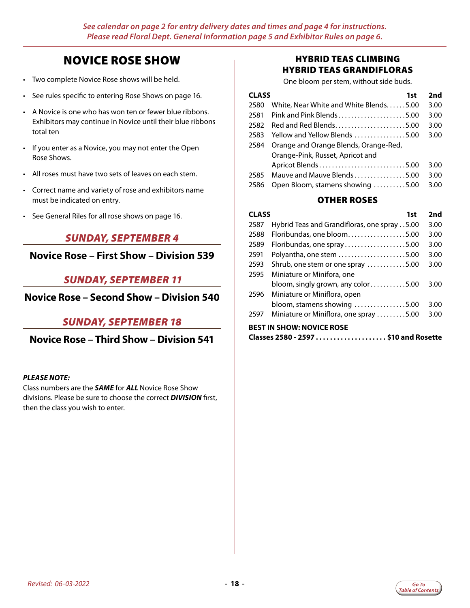## NOVICE ROSE SHOW

- Two complete Novice Rose shows will be held.
- See rules specific to entering Rose Shows on page 16.
- A Novice is one who has won ten or fewer blue ribbons. Exhibitors may continue in Novice until their blue ribbons total ten
- If you enter as a Novice, you may not enter the Open Rose Shows.
- All roses must have two sets of leaves on each stem.
- Correct name and variety of rose and exhibitors name must be indicated on entry.
- See General Riles for all rose shows on page 16.

### *SUNDAY, SEPTEMBER 4*

**Novice Rose – First Show – Division 539**

### *SUNDAY, SEPTEMBER 11*

### **Novice Rose – Second Show – Division 540**

### *SUNDAY, SEPTEMBER 18*

**Novice Rose – Third Show – Division 541**

#### *PLEASE NOTE:*

Class numbers are the *SAME* for *ALL* Novice Rose Show divisions. Please be sure to choose the correct *DIVISION* first, then the class you wish to enter.

### HYBRID TEAS CLIMBING HYBRID TEAS GRANDIFLORAS

One bloom per stem, without side buds.

| <b>CLASS</b><br>1st |                                        | 2nd  |
|---------------------|----------------------------------------|------|
| 2580                | White, Near White and White Blends5.00 | 3.00 |
| 2581                | Pink and Pink Blends5.00               | 3.00 |
| 2582                | Red and Red Blends5.00                 | 3.00 |
| 2583                | Yellow and Yellow Blends 5.00          | 3.00 |
| 2584                | Orange and Orange Blends, Orange-Red,  |      |
|                     | Orange-Pink, Russet, Apricot and       |      |
|                     | Apricot Blends5.00                     | 3.00 |
| 2585                | Mauve and Mauve Blends5.00             | 3.00 |
| 2586                | Open Bloom, stamens showing 5.00       | 3.00 |

#### OTHER ROSES

| CLASS<br>1st                     |                                              | 2nd  |
|----------------------------------|----------------------------------------------|------|
| 2587                             | Hybrid Teas and Grandifloras, one spray 5.00 | 3.00 |
| 2588                             | Floribundas, one bloom5.00                   | 3.00 |
| 2589                             | Floribundas, one spray5.00                   | 3.00 |
| 2591                             | Polyantha, one stem 5.00                     | 3.00 |
| 2593                             | Shrub, one stem or one spray 5.00            | 3.00 |
| 2595                             | Miniature or Minifora, one                   |      |
|                                  | bloom, singly grown, any color5.00           | 3.00 |
| 2596                             | Miniature or Miniflora, open                 |      |
|                                  | bloom, stamens showing 5.00                  | 3.00 |
| 2597                             | Miniature or Miniflora, one spray 5.00       | 3.00 |
| <b>BEST IN SHOW: NOVICE ROSE</b> |                                              |      |

**Classes 2580 - 2597. . . \$10 and Rosette**

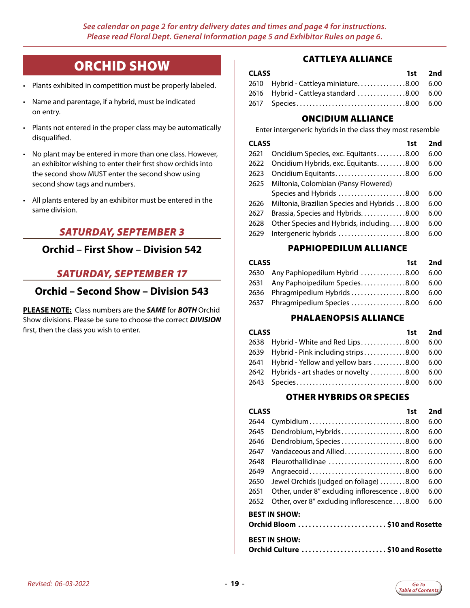## ORCHID SHOW

- <span id="page-18-0"></span>• Plants exhibited in competition must be properly labeled.
- Name and parentage, if a hybrid, must be indicated on entry.
- Plants not entered in the proper class may be automatically disqualified.
- No plant may be entered in more than one class. However, an exhibitor wishing to enter their first show orchids into the second show MUST enter the second show using second show tags and numbers.
- All plants entered by an exhibitor must be entered in the same division.

## *SATURDAY, SEPTEMBER 3*

### **Orchid – First Show – Division 542**

## *SATURDAY, SEPTEMBER 17*

### **Orchid – Second Show – Division 543**

**PLEASE NOTE:** Class numbers are the *SAME* for *BOTH* Orchid Show divisions. Please be sure to choose the correct *DIVISION* first, then the class you wish to enter.

### CATTLEYA ALLIANCE

| <b>CLASS</b> |                                           | 1st 2nd |
|--------------|-------------------------------------------|---------|
|              | 2610 Hybrid - Cattleya miniature8.00 6.00 |         |
|              | 2616 Hybrid - Cattleya standard 8.00 6.00 |         |
|              |                                           |         |

### ONCIDIUM ALLIANCE

Enter intergeneric hybrids in the class they most resemble

|      | <b>CLASS</b><br>1st                          |      |
|------|----------------------------------------------|------|
| 2621 | Oncidium Species, exc. Equitants8.00         | 6.00 |
| 2622 | Oncidium Hybrids, exc. Equitants. 8.00       | 6.00 |
| 2623 | Oncidium Equitants8.00                       | 6.00 |
| 2625 | Miltonia, Colombian (Pansy Flowered)         |      |
|      | Species and Hybrids 8.00                     | 6.00 |
| 2626 | Miltonia, Brazilian Species and Hybrids 8.00 | 6.00 |
| 2627 | Brassia, Species and Hybrids8.00             | 6.00 |
| 2628 | Other Species and Hybrids, including8.00     | 6.00 |
| 2629 | Intergeneric hybrids 8.00                    | 6.00 |

#### PAPHIOPEDILUM ALLIANCE

| <b>CLASS</b> |                                         | 1st 2nd |
|--------------|-----------------------------------------|---------|
|              | 2630 Any Paphiopedilum Hybrid 8.00 6.00 |         |
|              | 2631 Any Paphoipedilum Species8.00      | 6.00    |
|              | 2636 Phragmipedium Hybrids 8.00 6.00    |         |
|              | 2637 Phragmipedium Species 8.00 6.00    |         |

#### PHALAENOPSIS ALLIANCE

| <b>CLASS</b> |                                                                                                                                                                                                     |
|--------------|-----------------------------------------------------------------------------------------------------------------------------------------------------------------------------------------------------|
|              | - 6.00                                                                                                                                                                                              |
|              |                                                                                                                                                                                                     |
|              |                                                                                                                                                                                                     |
|              |                                                                                                                                                                                                     |
|              |                                                                                                                                                                                                     |
|              | 1st 2nd<br>2638 Hybrid - White and Red Lips8.00<br>2639 Hybrid - Pink including strips8.00 6.00<br>2641 Hybrid - Yellow and yellow bars 8.00 6.00<br>2642 Hybrids - art shades or novelty 8.00 6.00 |

#### OTHER HYBRIDS OR SPECIES

|                                                          | <b>CLASS</b><br>1st                          |      |
|----------------------------------------------------------|----------------------------------------------|------|
| 2644                                                     | Cymbidium8.00                                | 6.00 |
| 2645                                                     | Dendrobium, Hybrids8.00                      | 6.00 |
| 2646                                                     | Dendrobium, Species 8.00                     | 6.00 |
| 2647                                                     | Vandaceous and Allied8.00                    | 6.00 |
| 2648                                                     | Pleurothallidinae 8.00                       | 6.00 |
| 2649                                                     | Angraecoid8.00                               | 6.00 |
| 2650                                                     | Jewel Orchids (judged on foliage) 8.00       | 6.00 |
| 2651                                                     | Other, under 8" excluding inflorescence 8.00 | 6.00 |
| 2652                                                     | Other, over 8" excluding inflorescence8.00   | 6.00 |
| <b>BEST IN SHOW:</b><br>Orchid Bloom \$10 and Rosette    |                                              |      |
| <b>BEST IN SHOW:</b><br>Orchid Culture  \$10 and Rosette |                                              |      |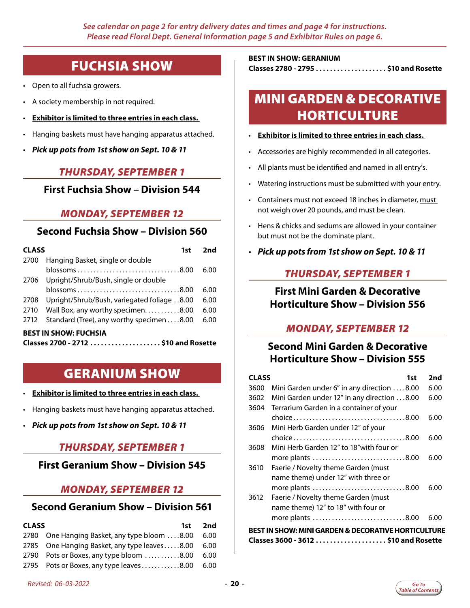## FUCHSIA SHOW

- <span id="page-19-0"></span>• Open to all fuchsia growers.
- A society membership in not required.
- **Exhibitor is limited to three entries in each class.**
- Hanging baskets must have hanging apparatus attached.
- *Pick up pots from 1st show on Sept. 10 & 11*

#### *THURSDAY, SEPTEMBER 1*

#### **First Fuchsia Show – Division 544**

### *MONDAY, SEPTEMBER 12*

## **Second Fuchsia Show – Division 560**

|                              | <b>CLASS</b><br>1st                         |      |
|------------------------------|---------------------------------------------|------|
| 2700                         | Hanging Basket, single or double            |      |
|                              | blossoms8.00                                | 6.00 |
| 2706                         | Upright/Shrub/Bush, single or double        |      |
|                              | blossoms8.00                                | 6.00 |
| 2708                         | Upright/Shrub/Bush, variegated foliage 8.00 | 6.00 |
| 2710                         | Wall Box, any worthy specimen. 8.00         | 6.00 |
| 2712                         | Standard (Tree), any worthy specimen8.00    | 6.00 |
| <b>BEST IN SHOW: FUCHSIA</b> |                                             |      |

|  | Classes 2700 - 2712 \$10 and Rosette |
|--|--------------------------------------|
|--|--------------------------------------|

## GERANIUM SHOW

- **Exhibitor is limited to three entries in each class.**
- Hanging baskets must have hanging apparatus attached.
- *Pick up pots from 1st show on Sept. 10 & 11*

### *THURSDAY, SEPTEMBER 1*

#### **First Geranium Show – Division 545**

#### *MONDAY, SEPTEMBER 12*

### **Second Geranium Show – Division 561**

| <b>CLASS</b> |                                                                | 1st 2nd |
|--------------|----------------------------------------------------------------|---------|
|              | 2780 One Hanging Basket, any type bloom 8.00 6.00              |         |
|              | 2785 One Hanging Basket, any type leaves8.00 6.00              |         |
|              | 2790 Pots or Boxes, any type bloom $\dots\dots\dots 8.00$ 6.00 |         |
|              | 2795 Pots or Boxes, any type leaves8.00 6.00                   |         |

## **BEST IN SHOW: GERANIUM**

**Classes 2780 - 2795. . . \$10 and Rosette**

## MINI GARDEN & DECORATIVE **HORTICULTURE**

- **Exhibitor is limited to three entries in each class.**
- Accessories are highly recommended in all categories.
- All plants must be identified and named in all entry's.
- Watering instructions must be submitted with your entry.
- Containers must not exceed 18 inches in diameter, must not weigh over 20 pounds, and must be clean.
- Hens & chicks and sedums are allowed in your container but must not be the dominate plant.
- *Pick up pots from 1st show on Sept. 10 & 11*

### *THURSDAY, SEPTEMBER 1*

## **First Mini Garden & Decorative Horticulture Show – Division 556**

## *MONDAY, SEPTEMBER 12*

## **Second Mini Garden & Decorative Horticulture Show – Division 555**

| <b>CLASS</b>                                                   | 1st                                         | 2nd  |
|----------------------------------------------------------------|---------------------------------------------|------|
| 3600                                                           | Mini Garden under 6" in any direction 8.00  | 6.00 |
| 3602                                                           | Mini Garden under 12" in any direction 8.00 | 6.00 |
| 3604                                                           | Terrarium Garden in a container of your     |      |
|                                                                |                                             | 6.00 |
| 3606                                                           | Mini Herb Garden under 12" of your          |      |
|                                                                |                                             | 6.00 |
| 3608                                                           | Mini Herb Garden 12" to 18"with four or     |      |
|                                                                | more plants 8.00                            | 6.00 |
| 3610                                                           | Faerie / Novelty theme Garden (must         |      |
|                                                                | name theme) under 12" with three or         |      |
|                                                                | more plants 8.00                            | 6.00 |
| 3612                                                           | Faerie / Novelty theme Garden (must         |      |
|                                                                | name theme) 12" to 18" with four or         |      |
|                                                                | more plants 8.00                            | 6.00 |
| <b>BEST IN SHOW: MINI GARDEN &amp; DECORATIVE HORTICULTURE</b> |                                             |      |
| Classes 3600 - 3612  \$10 and Rosette                          |                                             |      |

*Revised: 06-03-2022* **- 20 -**

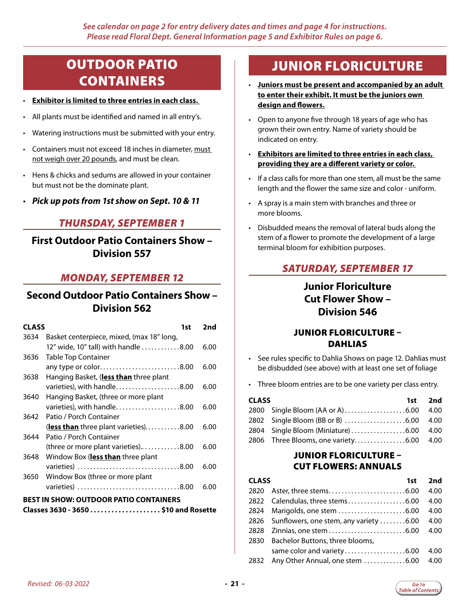## <span id="page-20-0"></span>OUTDOOR PATIO CONTAINERS

- **Exhibitor is limited to three entries in each class.**
- All plants must be identified and named in all entry's.
- Watering instructions must be submitted with your entry.
- Containers must not exceed 18 inches in diameter, must not weigh over 20 pounds, and must be clean.
- Hens & chicks and sedums are allowed in your container but must not be the dominate plant.
- *Pick up pots from 1st show on Sept. 10 & 11*

### *THURSDAY, SEPTEMBER 1*

**First Outdoor Patio Containers Show – Division 557**

### *MONDAY, SEPTEMBER 12*

## **Second Outdoor Patio Containers Show – Division 562**

| <b>CLASS</b>                                  | 1st                                       | 2nd  |
|-----------------------------------------------|-------------------------------------------|------|
| 3634                                          | Basket centerpiece, mixed, (max 18" long, |      |
|                                               | 12" wide, 10" tall) with handle 8.00      | 6.00 |
| 3636                                          | <b>Table Top Container</b>                |      |
|                                               | any type or color8.00                     | 6.00 |
| 3638                                          | Hanging Basket, (less than three plant    |      |
|                                               | varieties), with handle8.00               | 6.00 |
| 3640                                          | Hanging Basket, (three or more plant      |      |
|                                               | varieties), with handle8.00               | 6.00 |
| 3642                                          | Patio / Porch Container                   |      |
|                                               | (less than three plant varieties)8.00     | 6.00 |
| 3644                                          | Patio / Porch Container                   |      |
|                                               | (three or more plant varieties)8.00       | 6.00 |
| 3648                                          | Window Box ( <b>less than</b> three plant |      |
|                                               | varieties) 8.00                           | 6.00 |
| 3650                                          | Window Box (three or more plant           |      |
|                                               | varieties) 8.00                           | 6.00 |
| <b>BEST IN SHOW: OUTDOOR PATIO CONTAINERS</b> |                                           |      |

#### **Classes 3630 - 3650. . . \$10 and Rosette**

## JUNIOR FLORICULTURE

- **Juniors must be present and accompanied by an adult to enter their exhibit. It must be the juniors own design and flowers.**
- Open to anyone five through 18 years of age who has grown their own entry. Name of variety should be indicated on entry.
- **Exhibitors are limited to three entries in each class, providing they are a different variety or color.**
- If a class calls for more than one stem, all must be the same length and the flower the same size and color - uniform.
- A spray is a main stem with branches and three or more blooms.
- Disbudded means the removal of lateral buds along the stem of a flower to promote the development of a large terminal bloom for exhibition purposes.

## *SATURDAY, SEPTEMBER 17*

## **Junior Floriculture Cut Flower Show – Division 546**

### JUNIOR FLORICULTURE – DAHLIAS

- See rules specific to Dahlia Shows on page 12. Dahlias must be disbudded (see above) with at least one set of foliage
- Three bloom entries are to be one variety per class entry.

| <b>CLASS</b> |                                         | 1st 2nd |
|--------------|-----------------------------------------|---------|
|              |                                         |         |
|              |                                         |         |
|              | 2804 Single Bloom (Miniature) 6.00 4.00 |         |
|              | 2806 Three Blooms, one variety6.00 4.00 |         |

#### JUNIOR FLORICULTURE – CUT FLOWERS: ANNUALS

| <b>CLASS</b> | 1st                                         | 2nd  |
|--------------|---------------------------------------------|------|
|              |                                             | 4.00 |
|              | 2822 Calendulas, three stems6.00            | 4.00 |
|              |                                             | 4.00 |
|              | 2826 Sunflowers, one stem, any variety 6.00 | 4.00 |
| 2828         |                                             | 4.00 |
| 2830         | Bachelor Buttons, three blooms,             |      |
|              | same color and variety6.00                  | 4.00 |
|              | 2832 Any Other Annual, one stem 6.00        | 4.00 |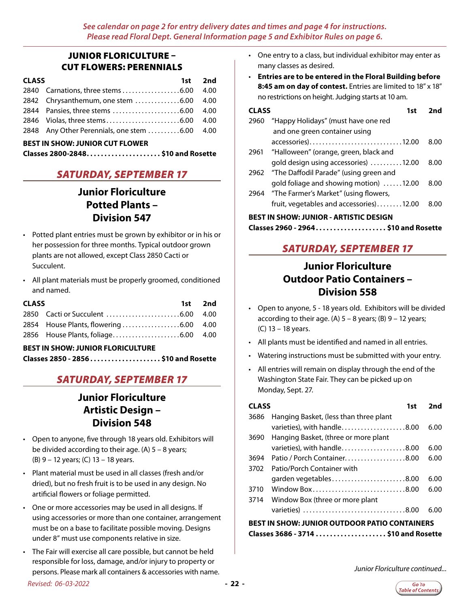### JUNIOR FLORICULTURE – CUT FLOWERS: PERENNIALS

| <b>CLASS</b> |                                               | 1st 2nd |
|--------------|-----------------------------------------------|---------|
|              |                                               | - 4.00  |
|              | 2842 Chrysanthemum, one stem 6.00 4.00        |         |
|              |                                               |         |
|              |                                               |         |
|              | 2848 Any Other Perennials, one stem 6.00 4.00 |         |

#### **BEST IN SHOW: JUNIOR CUT FLOWER**

## *SATURDAY, SEPTEMBER 17*

## **Junior Floriculture Potted Plants – Division 547**

- Potted plant entries must be grown by exhibitor or in his or her possession for three months. Typical outdoor grown plants are not allowed, except Class 2850 Cacti or Succulent.
- All plant materials must be properly groomed, conditioned and named.

| <b>CLASS</b> | 1st 2nd |
|--------------|---------|
|              |         |
|              |         |
|              |         |

#### **BEST IN SHOW: JUNIOR FLORICULTURE**

| Classes 2850 - 2856 \$10 and Rosette |
|--------------------------------------|
|--------------------------------------|

## *SATURDAY, SEPTEMBER 17*

## **Junior Floriculture Artistic Design – Division 548**

- Open to anyone, five through 18 years old. Exhibitors will be divided according to their age. (A)  $5 - 8$  years; (B) 9 – 12 years; (C) 13 – 18 years.
- Plant material must be used in all classes (fresh and/or dried), but no fresh fruit is to be used in any design. No artificial flowers or foliage permitted.
- One or more accessories may be used in all designs. If using accessories or more than one container, arrangement must be on a base to facilitate possible moving. Designs under 8" must use components relative in size.
- The Fair will exercise all care possible, but cannot be held responsible for loss, damage, and/or injury to property or persons. Please mark all containers & accessories with name.
- One entry to a class, but individual exhibitor may enter as many classes as desired.
- **Entries are to be entered in the Floral Building before 8:45 am on day of contest.** Entries are limited to 18" x 18" no restrictions on height. Judging starts at 10 am.

| CLASS<br>1st                                  |                                            | <b>and</b> |  |
|-----------------------------------------------|--------------------------------------------|------------|--|
| 2960                                          | "Happy Holidays" (must have one red        |            |  |
|                                               | and one green container using              |            |  |
|                                               | accessories)12.00                          | 8.00       |  |
|                                               | 2961 "Halloween" (orange, green, black and |            |  |
|                                               | gold design using accessories) 12.00       | 8.00       |  |
| 2962                                          | "The Daffodil Parade" (using green and     |            |  |
|                                               | gold foliage and showing motion) 12.00     | 8.00       |  |
|                                               | 2964 "The Farmer's Market" (using flowers, |            |  |
|                                               | fruit, vegetables and accessories)12.00    | 8.00       |  |
| <b>BEST IN SHOW: JUNIOR - ARTISTIC DESIGN</b> |                                            |            |  |

## **Classes 2960 - 2964. . . \$10 and Rosette**

## *SATURDAY, SEPTEMBER 17*

## **Junior Floriculture Outdoor Patio Containers – Division 558**

- Open to anyone, 5 18 years old. Exhibitors will be divided according to their age. (A)  $5 - 8$  years; (B)  $9 - 12$  years; (C) 13 – 18 years.
- All plants must be identified and named in all entries.
- Watering instructions must be submitted with your entry.
- All entries will remain on display through the end of the Washington State Fair. They can be picked up on Monday, Sept. 27.

| <b>CLASS</b><br>1st                                  |                                        |  | 2nd  |
|------------------------------------------------------|----------------------------------------|--|------|
| 3686                                                 | Hanging Basket, (less than three plant |  |      |
|                                                      | varieties), with handle8.00            |  | 6.00 |
| 3690                                                 | Hanging Basket, (three or more plant   |  |      |
|                                                      | varieties), with handle8.00            |  | 6.00 |
| 3694                                                 | Patio / Porch Container8.00            |  | 6.00 |
| 3702                                                 | Patio/Porch Container with             |  |      |
|                                                      | garden vegetables8.00                  |  | 6.00 |
| 3710                                                 | Window Box8.00                         |  | 6.00 |
| 3714                                                 | Window Box (three or more plant        |  |      |
|                                                      |                                        |  | 6.00 |
| <b>BEST IN SHOW: JUNIOR OUTDOOR PATIO CONTAINERS</b> |                                        |  |      |
|                                                      |                                        |  |      |

*Junior Floriculture continued...*

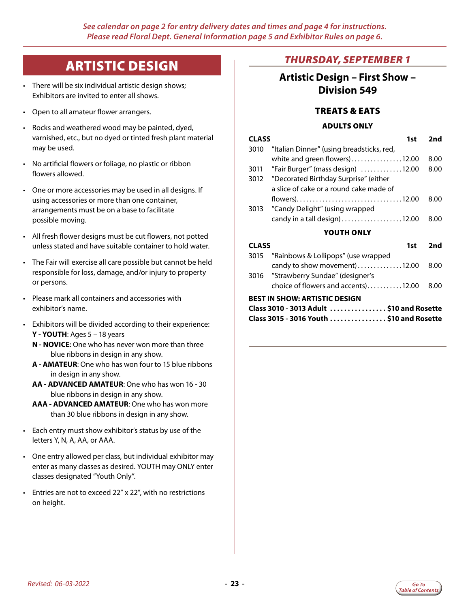## ARTISTIC DESIGN

- <span id="page-22-0"></span>• There will be six individual artistic design shows; Exhibitors are invited to enter all shows.
- Open to all amateur flower arrangers.
- Rocks and weathered wood may be painted, dyed, varnished, etc., but no dyed or tinted fresh plant material may be used.
- No artificial flowers or foliage, no plastic or ribbon flowers allowed.
- One or more accessories may be used in all designs. If using accessories or more than one container, arrangements must be on a base to facilitate possible moving.
- All fresh flower designs must be cut flowers, not potted unless stated and have suitable container to hold water.
- The Fair will exercise all care possible but cannot be held responsible for loss, damage, and/or injury to property or persons.
- Please mark all containers and accessories with exhibitor's name.
- Exhibitors will be divided according to their experience: **Y - YOUTH**: Ages 5 – 18 years
	- **N NOVICE**: One who has never won more than three blue ribbons in design in any show.
	- **A AMATEUR**: One who has won four to 15 blue ribbons in design in any show.
	- **AA ADVANCED AMATEUR**: One who has won 16 30 blue ribbons in design in any show.
	- **AAA ADVANCED AMATEUR**: One who has won more than 30 blue ribbons in design in any show.
- Each entry must show exhibitor's status by use of the letters Y, N, A, AA, or AAA.
- One entry allowed per class, but individual exhibitor may enter as many classes as desired. YOUTH may ONLY enter classes designated "Youth Only".
- Entries are not to exceed 22" x 22", with no restrictions on height.

## *THURSDAY, SEPTEMBER 1*

## **Artistic Design – First Show – Division 549**

### TREATS & EATS

## ADULTS ONLY **CLASS 1st 2nd** 3010 "Italian Dinner" (using breadsticks, red, white and green flowers $)$ .................12.00 8.00 3011 "Fair Burger" (mass design) .............12.00 8.00 3012 "Decorated Birthday Surprise" (either a slice of cake or a round cake made of flowers). . 12.00 8.00 3013 "Candy Delight" (using wrapped candy in a tall design) . . . . . . . . . . . . . . . . . 12.00 8.00 YOUTH ONLY **CLASS 1st 2nd** 3015 "Rainbows & Lollipops" (use wrapped candy to show movement.............12.00 8.00 3016 "Strawberry Sundae" (designer's choice of flowers and accents)...........12.00  $8.00$ **BEST IN SHOW: ARTISTIC DESIGN**

| Class 3010 - 3013 Adult  \$10 and Rosette |  |
|-------------------------------------------|--|
| Class 3015 - 3016 Youth  \$10 and Rosette |  |

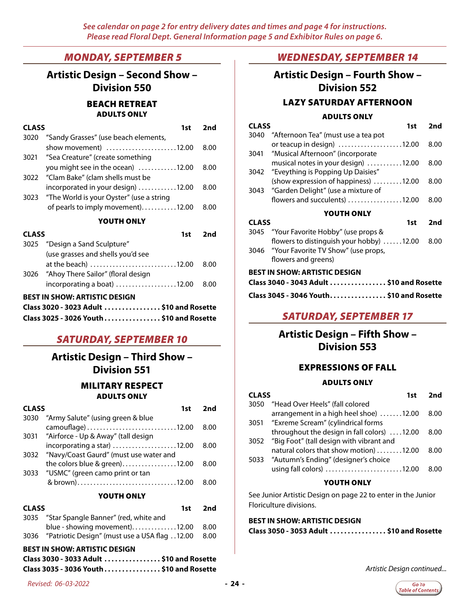### *MONDAY, SEPTEMBER 5*

**Artistic Design – Second Show – Division 550** BEACH RETREAT ADULTS ONLY

| <b>CLASS</b> | 1st                                           | 2nd  |
|--------------|-----------------------------------------------|------|
| 3020         | "Sandy Grasses" (use beach elements,          |      |
|              | show movement $\vert$ 12.00                   | 8.00 |
| 3021         | "Sea Creature" (create something              |      |
|              | you might see in the ocean) 12.00             | 8.00 |
|              | 3022 "Clam Bake" (clam shells must be         |      |
|              | incorporated in your design) 12.00            | 8.00 |
|              | 3023 "The World is your Oyster" (use a string |      |
|              | of pearls to imply movement)12.00             | 8.00 |
|              |                                               |      |

#### YOUTH ONLY

| <b>CLASS</b> | 1st i                                   | 2nd  |
|--------------|-----------------------------------------|------|
|              | 3025 "Design a Sand Sculpture"          |      |
|              | (use grasses and shells you'd see       |      |
|              | at the beach) 12.00                     | 8.00 |
|              | 3026 "Ahoy There Sailor" (floral design |      |
|              |                                         | 8.00 |
|              | DECT IN CUOW, ADTICTIC DECICNI          |      |

#### **BEST IN SHOW: ARTISTIC DESIGN**

| Class 3020 - 3023 Adult \$10 and Rosette |  |
|------------------------------------------|--|
| Class 3025 - 3026 Youth \$10 and Rosette |  |

### *SATURDAY, SEPTEMBER 10*

## **Artistic Design – Third Show – Division 551**

#### MILITARY RESPECT ADULTS ONLY

| <b>CLASS</b> | 1st                                      | 2nd  |
|--------------|------------------------------------------|------|
| 3030         | "Army Salute" (using green & blue        |      |
|              |                                          | 8.00 |
|              | 3031 "Airforce - Up & Away" (tall design |      |
|              | incorporating a star) 12.00              | 8.00 |
| 3032         | "Navy/Coast Gaurd" (must use water and   |      |
|              | the colors blue & green)12.00            | 8.00 |
| 3033         | "USMC" (green camo print or tan          |      |
|              | & brown)12.00                            | 8 00 |
|              |                                          |      |

#### YOUTH ONLY

| <b>CLASS</b> |                                                         | 1st | 2nd |
|--------------|---------------------------------------------------------|-----|-----|
|              | 3035 "Star Spangle Banner" (red, white and              |     |     |
|              | blue - showing movement). 12.00 8.00                    |     |     |
|              | 3036 "Patriotic Design" (must use a USA flag 12.00 8.00 |     |     |

#### **BEST IN SHOW: ARTISTIC DESIGN**

| Class 3030 - 3033 Adult  \$10 and Rosette |  |
|-------------------------------------------|--|
| Class 3035 - 3036 Youth \$10 and Rosette  |  |

### *WEDNESDAY, SEPTEMBER 14*

## **Artistic Design – Fourth Show – Division 552** LAZY SATURDAY AFTERNOON

#### ADULTS ONLY

|                                          | ADULI 3 UNLI                             |      |  |
|------------------------------------------|------------------------------------------|------|--|
| <b>CLASS</b>                             | 1st                                      | 2nd  |  |
| 3040                                     | "Afternoon Tea" (must use a tea pot      |      |  |
|                                          | or teacup in design) 12.00               | 8.00 |  |
| 3041                                     | "Musical Afternoon" (incorporate         |      |  |
|                                          | musical notes in your design) 12.00      | 8.00 |  |
|                                          | 3042 "Eveything is Popping Up Daisies"   |      |  |
|                                          | (show expression of happiness) 12.00     | 8.00 |  |
| 3043                                     | "Garden Delight" (use a mixture of       |      |  |
|                                          | flowers and succulents) 12.00            | 8.00 |  |
| YOUTH ONLY                               |                                          |      |  |
| <b>CLASS</b>                             | 1st                                      | 2nd  |  |
| 3045                                     | "Your Favorite Hobby" (use props &       |      |  |
|                                          | flowers to distinguish your hobby) 12.00 | 8.00 |  |
| 3046                                     | "Your Favorite TV Show" (use props,      |      |  |
|                                          | flowers and greens)                      |      |  |
| <b>BEST IN SHOW: ARTISTIC DESIGN</b>     |                                          |      |  |
| Class 3040 - 3043 Adult \$10 and Rosette |                                          |      |  |
|                                          |                                          |      |  |

### *SATURDAY, SEPTEMBER 17*

## **Artistic Design – Fifth Show – Division 553**

#### EXPRESSIONS OF FALL

#### ADULTS ONLY

| <b>CLASS</b> | 1st                                           | 2nd  |
|--------------|-----------------------------------------------|------|
| 3050         | "Head Over Heels" (fall colored               |      |
|              | arrangement in a high heel shoe) 12.00        | 8.00 |
|              | 3051 "Exreme Scream" (cylindrical forms       |      |
|              | throughout the design in fall colors) 12.00   | 8.00 |
|              | 3052 "Big Foot" (tall design with vibrant and |      |
|              | natural colors that show motion) 12.00        | 8.00 |
| 5033         | "Autumn's Ending" (designer's choice          |      |
|              | using fall colors) 12.00                      | 8.00 |
|              | YOUTH ONLY                                    |      |

#### See Junior Artistic Design on page 22 to enter in the Junior Floriculture divisions.

## **BEST IN SHOW: ARTISTIC DESIGN**

*Artistic Design continued...*